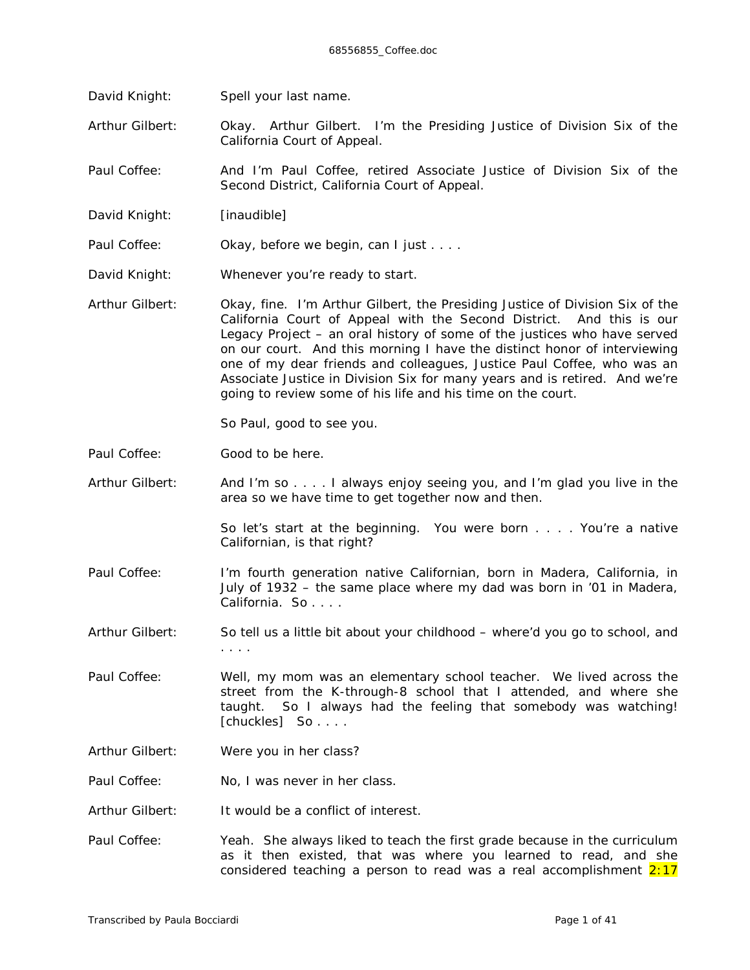David Knight: Spell your last name.

Arthur Gilbert: Okay. Arthur Gilbert. I'm the Presiding Justice of Division Six of the California Court of Appeal.

Paul Coffee: And I'm Paul Coffee, retired Associate Justice of Division Six of the Second District, California Court of Appeal.

David Knight: *[inaudible]*

Paul Coffee: Okay, before we begin, can I just . . . .

- David Knight: Whenever you're ready to start.
- Arthur Gilbert: Okay, fine. I'm Arthur Gilbert, the Presiding Justice of Division Six of the California Court of Appeal with the Second District. And this is our Legacy Project – an oral history of some of the justices who have served on our court. And this morning I have the distinct honor of interviewing one of my dear friends and colleagues, Justice Paul Coffee, who was an Associate Justice in Division Six for many years and is retired. And we're going to review some of his life and his time on the court.

So Paul, good to see you.

- Paul Coffee: Good to be here.
- Arthur Gilbert: And I'm so . . . . I always enjoy seeing you, and I'm glad you live in the area so we have time to get together now and then.

So let's start at the beginning. You were born . . . . You're a native Californian, is that right?

- Paul Coffee: I'm fourth generation native Californian, born in Madera, California, in July of 1932 – the same place where my dad was born in '01 in Madera, California. So . . . .
- Arthur Gilbert: So tell us a little bit about your childhood where'd you go to school, and . . . .
- Paul Coffee: Well, my mom was an elementary school teacher. We lived across the street from the K-through-8 school that I attended, and where she taught. So I always had the feeling that somebody was watching! *[chuckles]* So . . . .
- Arthur Gilbert: Were you in her class?
- Paul Coffee: No, I was never in her class.
- Arthur Gilbert: It would be a conflict of interest.
- Paul Coffee: Yeah. She always liked to teach the first grade because in the curriculum as it then existed, that was where you learned to read, and she considered teaching a person to read was a real accomplishment  $2:17$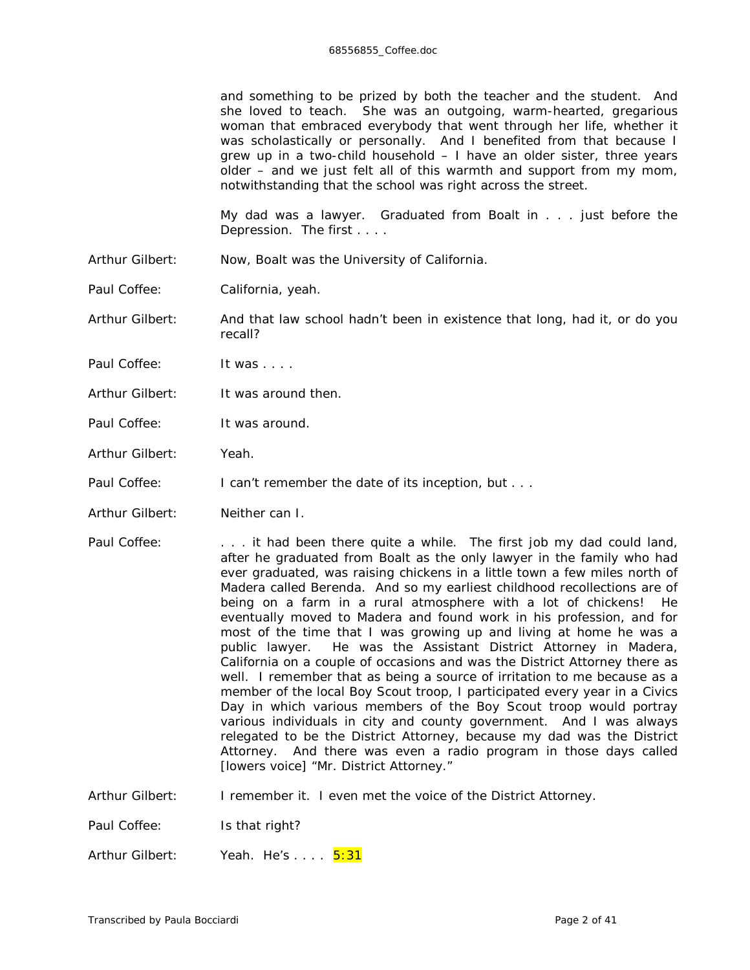and something to be prized by both the teacher and the student. And she loved to teach. She was an outgoing, warm-hearted, gregarious woman that embraced everybody that went through her life, whether it was scholastically or personally. And I benefited from that because I grew up in a two-child household – I have an older sister, three years older – and we just felt all of this warmth and support from my mom, notwithstanding that the school was right across the street.

My dad was a lawyer. Graduated from Boalt in . . . just before the Depression. The first . . . .

Arthur Gilbert: Now, Boalt was the University of California.

Paul Coffee: California, yeah.

Arthur Gilbert: And that law school hadn't been in existence that long, had it, or do you recall?

- Paul Coffee: It was . . . .
- Arthur Gilbert: It was around then.
- Paul Coffee: It was around.
- Arthur Gilbert: Yeah.

Paul Coffee: I can't remember the date of its inception, but . . .

- Arthur Gilbert: Neither can I.
- Paul Coffee: . . . . it had been there quite a while. The first job my dad could land, after he graduated from Boalt as the only lawyer in the family who had ever graduated, was raising chickens in a little town a few miles north of Madera called Berenda. And so my earliest childhood recollections are of being on a farm in a rural atmosphere with a lot of chickens! He eventually moved to Madera and found work in his profession, and for most of the time that I was growing up and living at home he was a public lawyer. He was the Assistant District Attorney in Madera, California on a couple of occasions and was the District Attorney there as well. I remember that as being a source of irritation to me because as a member of the local Boy Scout troop, I participated every year in a Civics Day in which various members of the Boy Scout troop would portray various individuals in city and county government. And I was *always* relegated to be the District Attorney, because my dad was the District Attorney. And there was even a radio program in those days called *[lowers voice]* "Mr. District Attorney."

Arthur Gilbert: I remember it. I even met the voice of the District Attorney.

Paul Coffee: Is that right?

Arthur Gilbert: Yeah. He's . . . . 5:31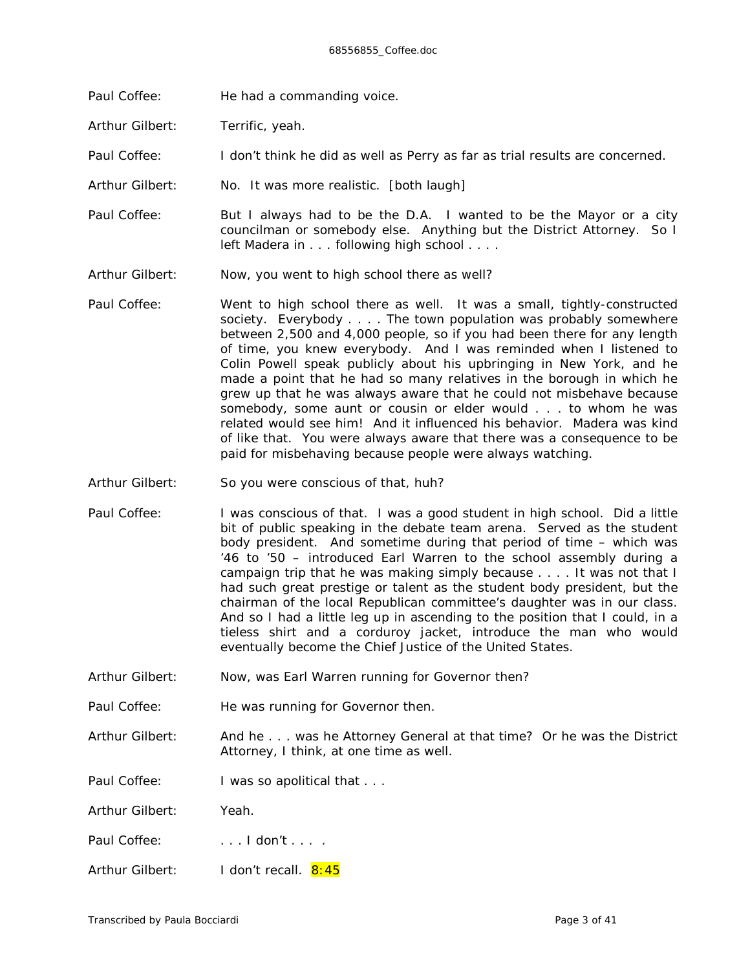- Paul Coffee: He had a *commanding* voice.
- Arthur Gilbert: Terrific, yeah.

Paul Coffee: I don't think he did as well as Perry as far as trial results are concerned.

Arthur Gilbert: No. It was more realistic. *[both laugh]*

Paul Coffee: But I always had to be the D.A. I wanted to be the Mayor or a city councilman or somebody else. Anything but the District Attorney. So I left Madera in . . . following high school . . . .

- Arthur Gilbert: Now, you went to high school there as well?
- Paul Coffee: Went to high school there as well. It was a small, tightly-constructed society. Everybody . . . . The town population was probably somewhere between 2,500 and 4,000 people, so if you had been there for any length of time, you knew *everybody*. And I was reminded when I listened to Colin Powell speak publicly about his upbringing in New York, and he made a point that he had so many relatives in the borough in which he grew up that he was always aware that he could not misbehave because somebody, some aunt or cousin or elder would . . . to whom he was related would see him! And it influenced his behavior. Madera was kind of like that. You were always aware that there was a consequence to be paid for misbehaving because people were always watching.
- Arthur Gilbert: So you were conscious of that, huh?
- Paul Coffee: I was conscious of that. I was a good student in high school. Did a little bit of public speaking in the debate team arena. Served as the student body president. And sometime during that period of time – which was '46 to '50 – introduced Earl Warren to the school assembly during a campaign trip that he was making simply because . . . . It was not that I had such great prestige or talent as the student body president, but the chairman of the local Republican committee's daughter was in our class. And so I had a little leg up in ascending to the position that I could, in a tieless shirt and a corduroy jacket, introduce the man who would eventually become the Chief Justice of the United States.
- Arthur Gilbert: Now, was Earl Warren running for Governor then?
- Paul Coffee: He was running for Governor then.

Arthur Gilbert: And he . . . was he Attorney General at that time? Or he was the District Attorney, I think, at one time as well.

Paul Coffee: I was so apolitical that . . .

Arthur Gilbert: Yeah.

Paul Coffee: ... . . . don't ... .

Arthur Gilbert: I don't recall. 8:45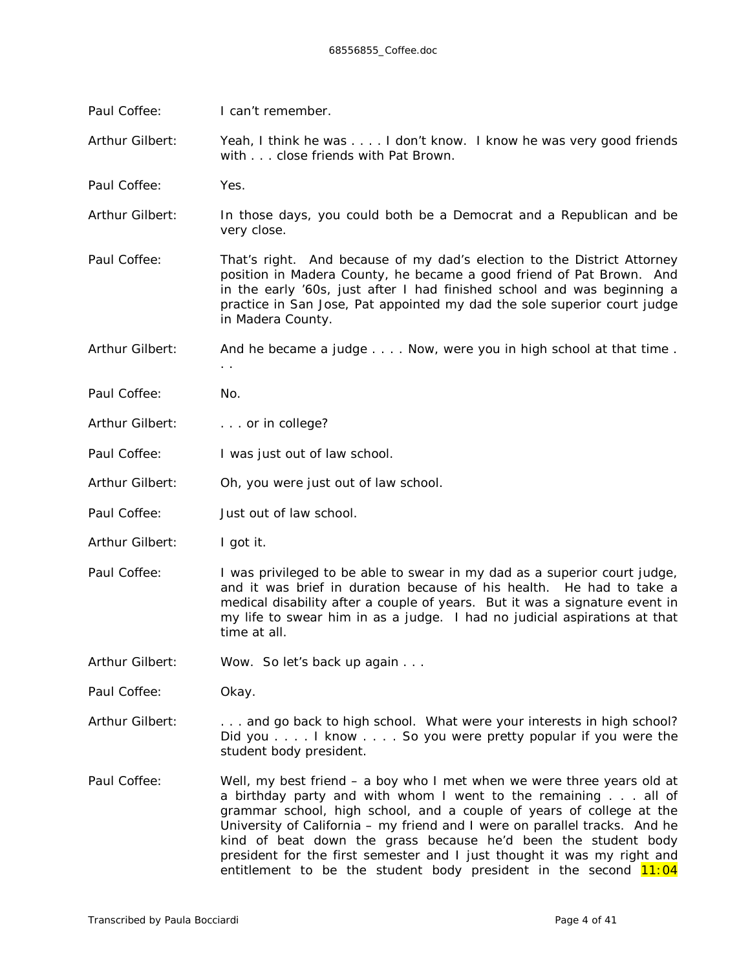| Paul Coffee:    | I can't remember.                                                                                                                                                                                                                                                                                                                                                                                                                          |  |  |  |
|-----------------|--------------------------------------------------------------------------------------------------------------------------------------------------------------------------------------------------------------------------------------------------------------------------------------------------------------------------------------------------------------------------------------------------------------------------------------------|--|--|--|
| Arthur Gilbert: | Yeah, I think he was I don't know. I know he was very good friends<br>with close friends with Pat Brown.                                                                                                                                                                                                                                                                                                                                   |  |  |  |
| Paul Coffee:    | Yes.                                                                                                                                                                                                                                                                                                                                                                                                                                       |  |  |  |
| Arthur Gilbert: | In those days, you could both be a Democrat and a Republican and be<br>very close.                                                                                                                                                                                                                                                                                                                                                         |  |  |  |
| Paul Coffee:    | That's right. And because of my dad's election to the District Attorney<br>position in Madera County, he became a good friend of Pat Brown. And<br>in the early '60s, just after I had finished school and was beginning a<br>practice in San Jose, Pat appointed my dad the sole superior court judge<br>in Madera County.                                                                                                                |  |  |  |
| Arthur Gilbert: | And he became a judge Now, were you in high school at that time.<br>$\ddotsc$                                                                                                                                                                                                                                                                                                                                                              |  |  |  |
| Paul Coffee:    | No.                                                                                                                                                                                                                                                                                                                                                                                                                                        |  |  |  |
| Arthur Gilbert: | . or in college?                                                                                                                                                                                                                                                                                                                                                                                                                           |  |  |  |
| Paul Coffee:    | I was just out of law school.                                                                                                                                                                                                                                                                                                                                                                                                              |  |  |  |
| Arthur Gilbert: | Oh, you were just out of law school.                                                                                                                                                                                                                                                                                                                                                                                                       |  |  |  |
| Paul Coffee:    | Just out of law school.                                                                                                                                                                                                                                                                                                                                                                                                                    |  |  |  |
| Arthur Gilbert: | I got it.                                                                                                                                                                                                                                                                                                                                                                                                                                  |  |  |  |
| Paul Coffee:    | I was privileged to be able to swear in my dad as a superior court judge,<br>and it was brief in duration because of his health. He had to take a<br>medical disability after a couple of years. But it was a signature event in<br>my life to swear him in as a judge. I had no judicial aspirations at that<br>time at all.                                                                                                              |  |  |  |
| Arthur Gilbert: | Wow. So let's back up again                                                                                                                                                                                                                                                                                                                                                                                                                |  |  |  |
| Paul Coffee:    | Okay.                                                                                                                                                                                                                                                                                                                                                                                                                                      |  |  |  |
| Arthur Gilbert: | and go back to high school. What were your interests in high school?<br>Did you I know So you were pretty popular if you were the<br>student body president.                                                                                                                                                                                                                                                                               |  |  |  |
| Paul Coffee:    | Well, my best friend – a boy who I met when we were three years old at<br>a birthday party and with whom I went to the remaining all of<br>grammar school, high school, and a couple of years of college at the<br>University of California - my friend and I were on parallel tracks. And he<br>kind of beat down the grass because he'd been the student body<br>president for the first semester and I just thought it was my right and |  |  |  |

entitlement to be the student body president in the second <mark>11:04</mark>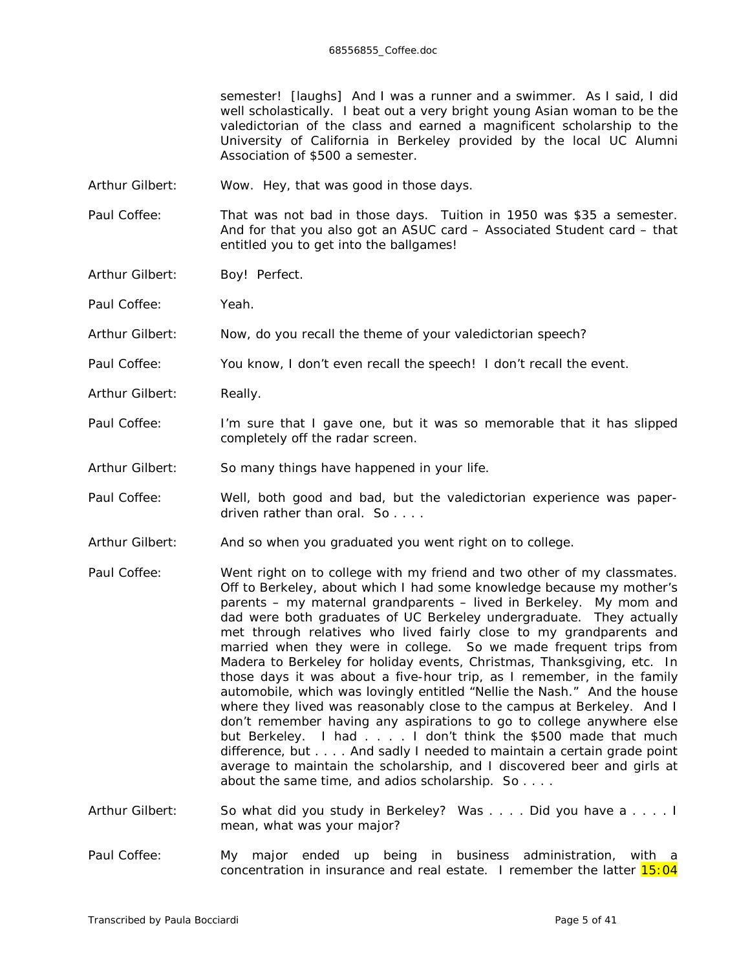semester! *[laughs]* And I was a runner and a swimmer. As I said, I did well scholastically. I beat out a very bright young Asian woman to be the valedictorian of the class and earned a *magnificent* scholarship to the University of California in Berkeley provided by the local UC Alumni Association of \$500 a semester.

- Arthur Gilbert: Wow. Hey, that was good in those days.
- Paul Coffee: That was not bad in those days. Tuition in 1950 was \$35 a semester. And for that you also got an ASUC card – Associated Student card – that entitled you to get into the ballgames!
- Arthur Gilbert: Boy! Perfect.

Paul Coffee: Yeah.

Arthur Gilbert: Now, do you recall the theme of your valedictorian speech?

- Paul Coffee: You know, I don't even recall the speech! I don't recall the event.
- Arthur Gilbert: Really.
- Paul Coffee: I'm sure that I gave one, but it was so memorable that it has slipped completely off the radar screen.
- Arthur Gilbert: So many things have happened in your life.
- Paul Coffee: Well, both good and bad, but the valedictorian experience was paperdriven rather than oral. So . . . .
- Arthur Gilbert: And so when you graduated you went right on to college.
- Paul Coffee: Went right on to college with my friend and two other of my classmates. Off to Berkeley, about which I had some knowledge because my mother's parents – my maternal grandparents – lived in Berkeley. My mom and dad were both graduates of UC Berkeley undergraduate. They actually met through relatives who lived fairly close to my grandparents and married when they were in college. So we made frequent trips from Madera to Berkeley for holiday events, Christmas, Thanksgiving, etc. In those days it was about a five-hour trip, as I remember, in the family automobile, which was lovingly entitled "Nellie the Nash." And the house where they lived was reasonably close to the campus at Berkeley. And I don't remember having any aspirations to go to college anywhere else but Berkeley. I had . . . . I don't think the \$500 made that much difference, but . . . . And sadly I needed to maintain a certain grade point average to maintain the scholarship, and I discovered beer and girls at about the same time, and adios scholarship. So . . . .
- Arthur Gilbert: So what did you study in Berkeley? Was . . . . Did you have a . . . . I mean, what was your major?
- Paul Coffee: My major ended up being in business administration, with a concentration in insurance and real estate. I remember the latter  $15:04$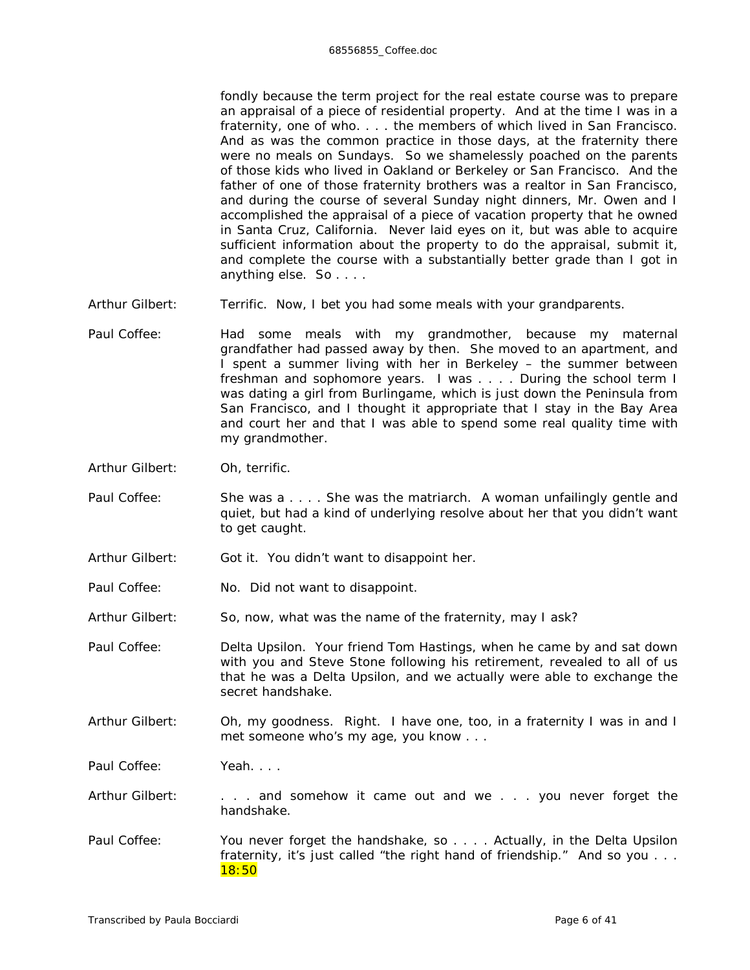fondly because the term project for the real estate course was to prepare an appraisal of a piece of residential property. And at the time I was in a fraternity, one of who. . . . the members of which lived in San Francisco. And as was the common practice in those days, at the fraternity there were no meals on Sundays. So we shamelessly poached on the parents of those kids who lived in Oakland or Berkeley or San Francisco. And the father of one of those fraternity brothers was a realtor in San Francisco, and during the course of several Sunday night dinners, Mr. Owen and I accomplished the appraisal of a piece of vacation property that he owned in Santa Cruz, California. Never laid eyes on it, but was able to acquire sufficient information about the property to do the appraisal, submit it, and complete the course with a substantially better grade than I got in anything else. So . . . .

- Arthur Gilbert: Terrific. Now, I bet you had some meals with your grandparents.
- Paul Coffee: Had some meals with my grandmother, because my maternal grandfather had passed away by then. She moved to an apartment, and I spent a summer living with her in Berkeley – the summer between freshman and sophomore years. I was . . . . During the school term I was dating a girl from Burlingame, which is just down the Peninsula from San Francisco, and I thought it appropriate that I stay in the Bay Area and court her and that I was able to spend some real quality time with my grandmother.
- Arthur Gilbert: Oh, terrific.
- Paul Coffee: She was a . . . . She was the matriarch. A woman unfailingly gentle and quiet, but had a kind of underlying resolve about her that you didn't want to get caught.
- Arthur Gilbert: Got it. You didn't want to disappoint her.
- Paul Coffee: No. Did *not* want to disappoint.
- Arthur Gilbert: So, now, what was the name of the fraternity, may I ask?

Paul Coffee: Delta Upsilon. Your friend Tom Hastings, when he came by and sat down with you and Steve Stone following his retirement, revealed to all of us that *he* was a Delta Upsilon, and we actually were able to exchange the secret handshake.

Arthur Gilbert: Oh, my goodness. Right. I have one, too, in a fraternity I was in and I met someone who's my age, you know . . .

Paul Coffee: Yeah. . . .

- Arthur Gilbert: . . . . . and somehow it came out and we . . . you never forget the handshake.
- Paul Coffee: You never forget the handshake, so . . . . Actually, in the Delta Upsilon fraternity, it's just called "the right hand of friendship." And so you . . . 18:50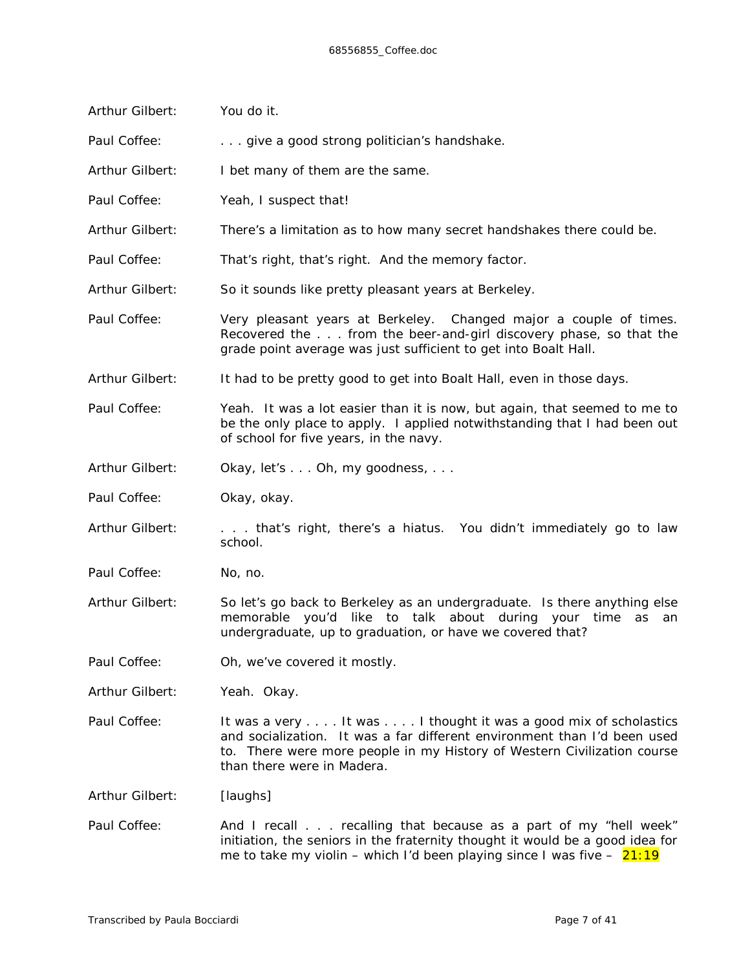| Arthur Gilbert: | You do it.                                                                                                                                                                                                                                           |  |  |  |
|-----------------|------------------------------------------------------------------------------------------------------------------------------------------------------------------------------------------------------------------------------------------------------|--|--|--|
| Paul Coffee:    | give a good strong politician's handshake.                                                                                                                                                                                                           |  |  |  |
| Arthur Gilbert: | I bet many of them are the same.                                                                                                                                                                                                                     |  |  |  |
| Paul Coffee:    | Yeah, I suspect that!                                                                                                                                                                                                                                |  |  |  |
| Arthur Gilbert: | There's a limitation as to how many secret handshakes there could be.                                                                                                                                                                                |  |  |  |
| Paul Coffee:    | That's right, that's right. And the memory factor.                                                                                                                                                                                                   |  |  |  |
| Arthur Gilbert: | So it sounds like pretty pleasant years at Berkeley.                                                                                                                                                                                                 |  |  |  |
| Paul Coffee:    | Very pleasant years at Berkeley. Changed major a couple of times.<br>Recovered the from the beer-and-girl discovery phase, so that the<br>grade point average was just sufficient to get into Boalt Hall.                                            |  |  |  |
| Arthur Gilbert: | It had to be pretty good to get into Boalt Hall, even in those days.                                                                                                                                                                                 |  |  |  |
| Paul Coffee:    | Yeah. It was a lot easier than it is now, but again, that seemed to me to<br>be the only place to apply. I applied notwithstanding that I had been out<br>of school for five years, in the navy.                                                     |  |  |  |
| Arthur Gilbert: | Okay, let's Oh, my goodness,                                                                                                                                                                                                                         |  |  |  |
| Paul Coffee:    | Okay, okay.                                                                                                                                                                                                                                          |  |  |  |
| Arthur Gilbert: | that's right, there's a hiatus. You didn't immediately go to law<br>school.                                                                                                                                                                          |  |  |  |
| Paul Coffee:    | No, no.                                                                                                                                                                                                                                              |  |  |  |
| Arthur Gilbert: | So let's go back to Berkeley as an undergraduate. Is there anything else<br>memorable you'd like to talk about during your time<br>as<br>an<br>undergraduate, up to graduation, or have we covered that?                                             |  |  |  |
| Paul Coffee:    | Oh, we've covered it mostly.                                                                                                                                                                                                                         |  |  |  |
| Arthur Gilbert: | Yeah. Okay.                                                                                                                                                                                                                                          |  |  |  |
| Paul Coffee:    | It was a very It was I thought it was a good mix of scholastics<br>and socialization. It was a far different environment than I'd been used<br>to. There were more people in my History of Western Civilization course<br>than there were in Madera. |  |  |  |
| Arthur Gilbert: | [laughs]                                                                                                                                                                                                                                             |  |  |  |
| Paul Coffee:    | And I recall recalling that because as a part of my "hell week"<br>initiation, the seniors in the fraternity thought it would be a good idea for<br>me to take my violin – which I'd been playing since I was five – $21:19$                         |  |  |  |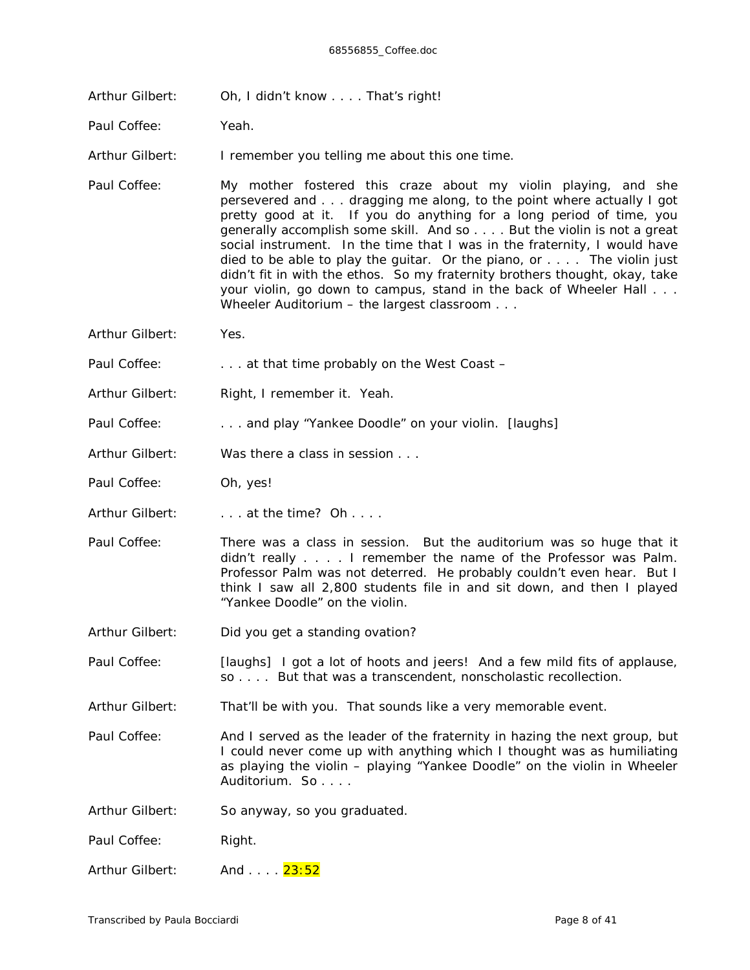Arthur Gilbert: Oh, I didn't know . . . . That's right!

Paul Coffee: Yeah.

Arthur Gilbert: I remember you telling me about this one time.

- Paul Coffee: My mother fostered this craze about my violin playing, and she persevered and . . . dragging *m*e along, to the point where actually I got pretty good at it. If you do *anything* for a long period of time, you generally accomplish *some* skill. And so . . . . But the violin is not a great social instrument. In the time that I was in the fraternity, I would have *died* to be able to play the guitar. Or the piano, or . . . . The violin just didn't fit in with the ethos. So my fraternity brothers thought, okay, take your violin, go down to campus, stand in the back of Wheeler Hall . . . Wheeler Auditorium – the largest classroom . . .
- Arthur Gilbert: Yes.

Paul Coffee: . . . . . . at that time probably on the West Coast -

- Arthur Gilbert: Right, I remember it. Yeah.
- Paul Coffee: . . . and play "Yankee Doodle" on your violin. *[laughs]*
- Arthur Gilbert: Was there a class in session ...
- Paul Coffee: Oh, yes!
- Arthur Gilbert: . . . . at the time? Oh . . . .
- Paul Coffee: There was a class in session. But the auditorium was so huge that it didn't really . . . . I remember the name of the Professor was Palm. Professor Palm was not deterred. He probably couldn't even *hear*. But I think I saw all 2,800 students file in and sit down, and then I played "Yankee Doodle" on the violin.
- Arthur Gilbert: Did you get a standing ovation?
- Paul Coffee: *[laughs]* I got a lot of hoots and jeers! And a few mild fits of applause, so . . . . But that was a transcendent, nonscholastic recollection.
- Arthur Gilbert: That'll be with you. That sounds like a *very* memorable event.
- Paul Coffee: And I served as the leader of the fraternity in hazing the *next* group, but I could never come up with anything which I thought was as humiliating as playing the violin – playing "Yankee Doodle" on the violin in Wheeler Auditorium. So . . . .
- Arthur Gilbert: So anyway, so you graduated.

Paul Coffee: Right.

Arthur Gilbert: And .... 23:52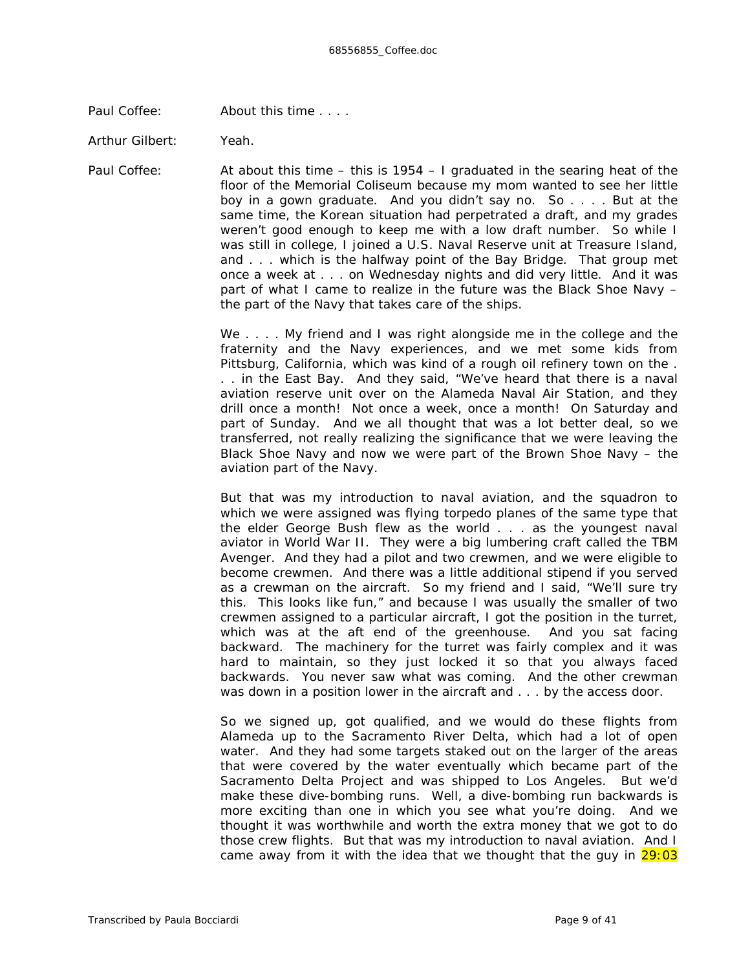Paul Coffee: About this time . . . .

Arthur Gilbert: Yeah.

Paul Coffee: At about this time – this is 1954 – I graduated in the searing heat of the floor of the Memorial Coliseum because my mom wanted to see her little boy in a gown graduate. And you didn't say no. So . . . . But at the same time, the Korean situation had perpetrated a draft, and my grades weren't good enough to keep me with a low draft number. So while I was still in college, I joined a U.S. Naval Reserve unit at Treasure Island, and . . . which is the halfway point of the Bay Bridge. That group met once a week at . . . on Wednesday nights and did very little. And it was part of what I came to realize in the future was the Black Shoe Navy – the part of the Navy that takes care of the ships.

> We . . . . My friend and I was right alongside me in the college and the fraternity and the Navy experiences, and we met some kids from Pittsburg, California, which was kind of a rough oil refinery town on the . . . in the East Bay. And they said, "We've heard that there is a naval aviation reserve unit over on the Alameda Naval Air Station, and they drill once a *month!* Not once a week, once a *month!* On Saturday and part of Sunday. And we all thought that was a *lot* better deal, so we transferred, not really realizing the significance that we were leaving the Black Shoe Navy and now we were part of the Brown Shoe Navy – the aviation part of the Navy.

> But that was my introduction to naval aviation, and the squadron to which we were assigned was flying torpedo planes of the same type that the elder George Bush flew as the world . . . as the youngest naval aviator in World War II. They were a big lumbering craft called the TBM Avenger. And they had a pilot and two crewmen, and we were eligible to become crewmen. And there was a little additional stipend if you served as a crewman on the aircraft. So my friend and I said, "We'll sure try *this*. This looks like fun," and because I was usually the smaller of two crewmen assigned to a particular aircraft, I got the position in the turret, which was at the aft end of the greenhouse. And you sat facing backward. The machinery for the turret was fairly complex and it was hard to maintain, so they just locked it so that you *always* faced backwards. You *never* saw what was coming. And the other crewman was down in a position lower in the aircraft and . . . by the access door.

> So we signed up, got qualified, and we would do these flights from Alameda up to the Sacramento River Delta, which had a lot of open water. And they had some targets staked out on the larger of the areas that were covered by the water eventually which became part of the Sacramento Delta Project and was shipped to Los Angeles. But we'd make these dive-bombing runs. Well, a dive-bombing run backwards is more exciting than one in which you see what you're doing. And we thought it was worthwhile and worth the extra money that we got to do those crew flights. But that was my introduction to naval aviation. And I came away from it with the idea that we thought that the guy in  $29:03$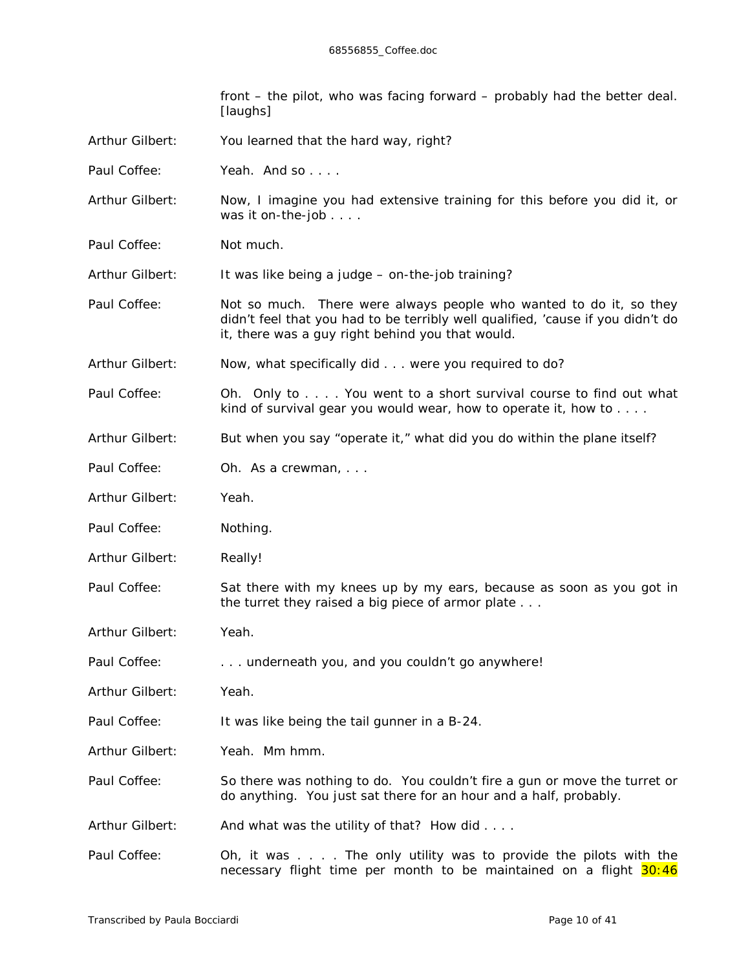front – the pilot, who was facing forward – probably had the better deal. *[laughs]*

- Arthur Gilbert: You learned that the hard way, right?
- Paul Coffee: Yeah. And so
- Arthur Gilbert: Now, I imagine you had extensive training for this before you did it, or was it on-the-job . . . .
- Paul Coffee: Not much.

Arthur Gilbert: It was like being a judge – on-the-job training?

- Paul Coffee: Not so much. There were always people who wanted to do it, so they didn't feel that you had to be terribly well qualified, 'cause if you didn't do it, there was a guy right behind you that would.
- Arthur Gilbert: Now, what *specifically* did . . . were you required to do?
- Paul Coffee: Oh. Only to . . . You went to a short survival course to find out what kind of survival gear you would wear, how to operate it, how to . . . .
- Arthur Gilbert: But when you say "operate it," what did you do within the plane itself?
- Paul Coffee: Oh. As a crewman, ...
- Arthur Gilbert: Yeah.
- Paul Coffee: Nothing.
- Arthur Gilbert: Really!
- Paul Coffee: Sat there with my knees up by my ears, because as soon as you got in the turret they raised a big piece of armor plate . . .
- Arthur Gilbert: Yeah.
- Paul Coffee: . . . . . . underneath you, and you couldn't *go* anywhere!
- Arthur Gilbert: Yeah.
- Paul Coffee: It was like being the tail gunner in a B-24.
- Arthur Gilbert: Yeah. Mm hmm.
- Paul Coffee: So there was nothing to do. You couldn't fire a gun or move the turret or do anything. You just sat there for an hour and a half, probably.
- Arthur Gilbert: And what was the utility of that? How did . . . .
- Paul Coffee: Oh, it was . . . . The only utility was to provide the pilots with the necessary flight time per month to be maintained on a flight 30:46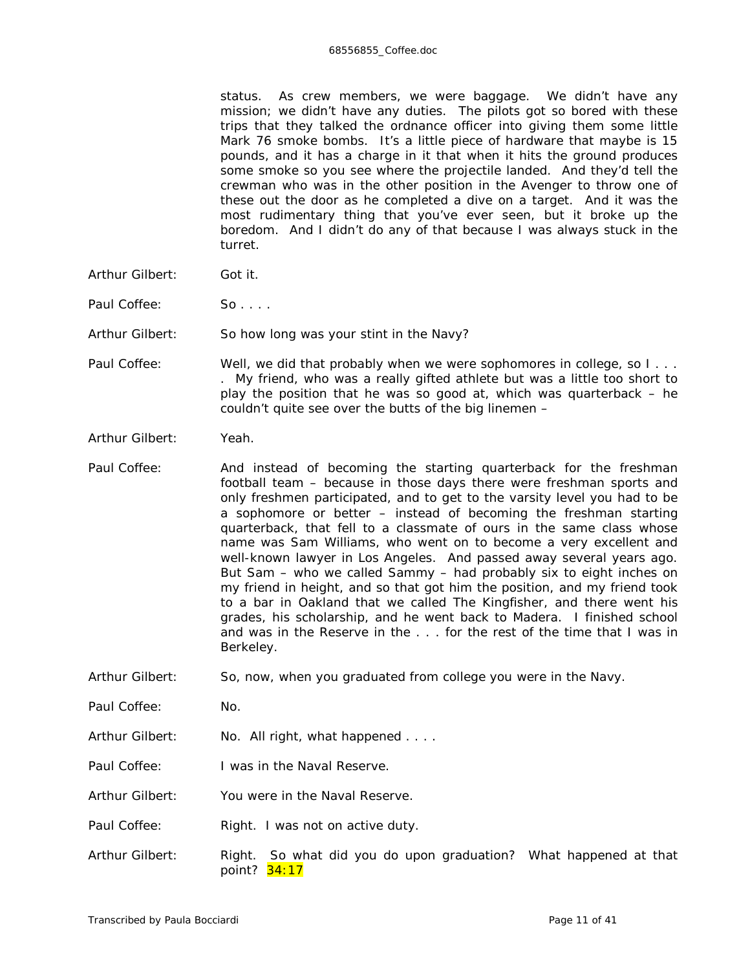## 68556855\_Coffee.doc

status. As crew members, we were baggage. We didn't have any mission; we didn't have any duties. The pilots got so bored with these trips that they talked the ordnance officer into giving them some little Mark 76 smoke bombs. It's a little piece of hardware that maybe is 15 pounds, and it has a charge in it that when it hits the ground produces some smoke so you see where the projectile landed. And they'd tell the crewman who was in the other position in the Avenger to throw one of these out the door as he completed a dive on a target. And it was the most rudimentary thing that you've ever seen, but it broke up the boredom. And I didn't do any of that because I was always stuck in the turret.

- Arthur Gilbert: Got it.
- Paul Coffee: So . . . .
- Arthur Gilbert: So how long was your stint in the Navy?
- Paul Coffee: Well, we did that probably when we were sophomores in college, so I... . My friend, who was a really gifted athlete but was a little too short to play the position that he was so good at, which was quarterback – he couldn't quite see over the butts of the big linemen –
- Arthur Gilbert: Yeah.
- Paul Coffee: And instead of becoming the starting quarterback for the freshman football team – because in those days there were freshman sports and only freshmen participated, and to get to the varsity level you had to be a sophomore or better – instead of becoming the freshman starting quarterback, that fell to a classmate of ours in the same class whose name was Sam Williams, who went on to become a very excellent and well-known lawyer in Los Angeles. And passed away several years ago. But Sam – who we called Sammy – had probably six to eight inches on my friend in height, and so that got him the position, and my friend took to a bar in Oakland that we called The Kingfisher, and there went his grades, his scholarship, and he went back to Madera. I finished school and was in the Reserve in the . . . for the rest of the time that I was in Berkeley.
- Arthur Gilbert: So, now, when you graduated from college you were in the Navy.
- Paul Coffee: No.
- Arthur Gilbert: No. All right, what happened . . . .
- Paul Coffee: I was in the Naval Reserve.
- Arthur Gilbert: You were in the Naval Reserve.
- Paul Coffee: Right. I was not on active duty.
- Arthur Gilbert: Right. So what did you do upon graduation? What happened at that point? 34:17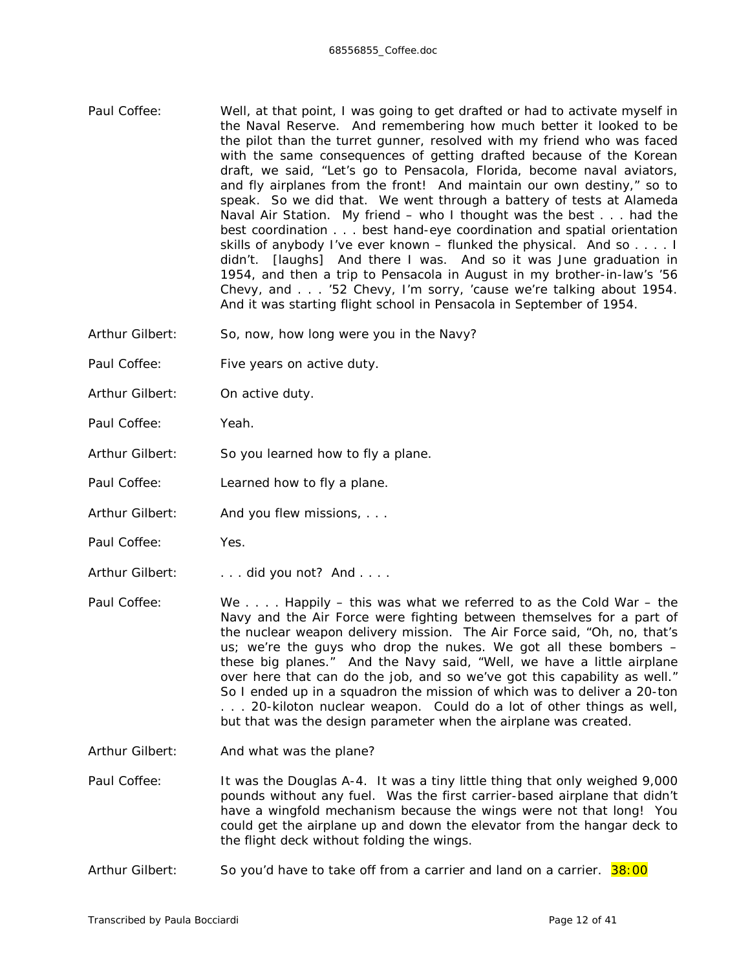- Paul Coffee: Well, at that point, I was going to get drafted or had to activate myself in the Naval Reserve. And remembering how much better it looked to be the pilot than the turret gunner, resolved with my friend who was faced with the same consequences of getting drafted because of the Korean draft, we said, "Let's go to Pensacola, Florida, become naval aviators, and fly airplanes from the front! And maintain our own destiny," so to speak. So we did that. We went through a battery of tests at Alameda Naval Air Station. My friend – who I thought was the best . . . had the best coordination . . . best hand-eye coordination and spatial orientation skills of anybody I've ever known – flunked the physical. And so . . . . I didn't. *[laughs]* And there I was. And so it was June graduation in 1954, and then a trip to Pensacola in August in my brother-in-law's '56 Chevy, and . . . '52 Chevy, I'm sorry, 'cause we're talking about 1954. And it was starting flight school in Pensacola in September of 1954.
- Arthur Gilbert: So, now, how long were you in the Navy?
- Paul Coffee: Five years on active duty.
- Arthur Gilbert: On active duty.
- Paul Coffee: Yeah.
- Arthur Gilbert: So you learned how to fly a plane.
- Paul Coffee: Learned how to fly a plane.
- Arthur Gilbert: And you flew missions, ...
- Paul Coffee: Yes.
- Arthur Gilbert: . . . . did you not? And . . . .
- Paul Coffee: We . . . . Happily this was what we referred to as the Cold War the Navy and the Air Force were fighting between themselves for a part of the nuclear weapon delivery mission. The Air Force said, "Oh, no, that's us; we're the guys who drop the nukes. We got all these bombers – these big planes." And the Navy said, "Well, we have a little airplane over here that can do the job, and so we've got this capability as well." So I ended up in a squadron the mission of which was to deliver a 20-ton . . . 20-*kilo*ton nuclear weapon. Could do a lot of other things as well, but that was the design parameter when the airplane was created.
- Arthur Gilbert: And what was the plane?
- Paul Coffee: It was the Douglas A-4. It was a tiny little thing that only weighed 9,000 pounds without any fuel. Was the first carrier-based airplane that didn't have a wingfold mechanism because the wings were not that long! You could get the airplane up and down the elevator from the hangar deck to the flight deck without folding the wings.
- Arthur Gilbert: So you'd have to take off from a carrier and land on a carrier. 38:00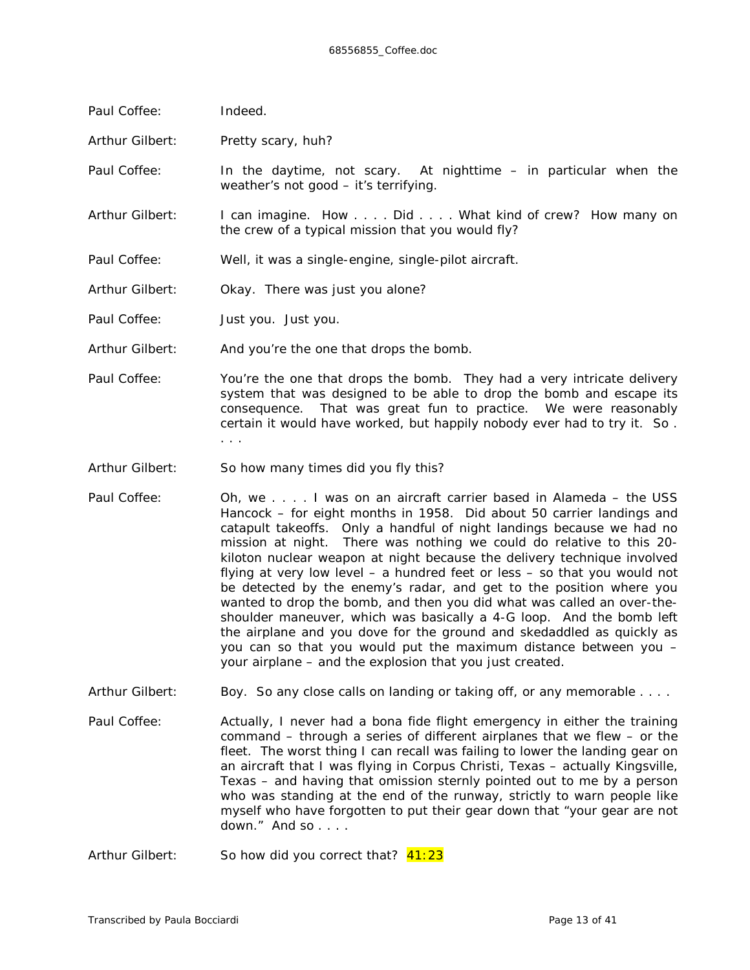| Paul Coffee:    | Indeed.                                                                                                                                                                                                                                                                                                  |  |  |  |
|-----------------|----------------------------------------------------------------------------------------------------------------------------------------------------------------------------------------------------------------------------------------------------------------------------------------------------------|--|--|--|
| Arthur Gilbert: | Pretty scary, huh?                                                                                                                                                                                                                                                                                       |  |  |  |
| Paul Coffee:    | In the daytime, not scary. At nighttime - in particular when the<br>weather's not good - it's terrifying.                                                                                                                                                                                                |  |  |  |
| Arthur Gilbert: | I can imagine. How Did What kind of crew? How many on<br>the crew of a typical mission that you would fly?                                                                                                                                                                                               |  |  |  |
| Paul Coffee:    | Well, it was a single-engine, single-pilot aircraft.                                                                                                                                                                                                                                                     |  |  |  |
| Arthur Gilbert: | Okay. There was just you alone?                                                                                                                                                                                                                                                                          |  |  |  |
| Paul Coffee:    | Just you. Just you.                                                                                                                                                                                                                                                                                      |  |  |  |
| Arthur Gilbert: | And you're the one that drops the bomb.                                                                                                                                                                                                                                                                  |  |  |  |
| Paul Coffee:    | You're the one that drops the bomb. They had a very intricate delivery<br>system that was designed to be able to drop the bomb and escape its<br>consequence. That was great fun to practice. We were reasonably<br>certain it would have worked, but happily nobody ever had to try it. So.<br>$\cdots$ |  |  |  |
| Arthur Gilbert: | So how many times did you fly this?                                                                                                                                                                                                                                                                      |  |  |  |
| Paul Coffee:    | Oh, we I was on an aircraft carrier based in Alameda – the USS<br>Hancock for oight months in 1059. Did about 50 carrier landings and                                                                                                                                                                    |  |  |  |

- Hancock for eight months in 1958. Did about 50 carrier landings and catapult takeoffs. Only a handful of night landings because we had no mission at night. There was nothing we could do relative to this 20 kiloton nuclear weapon at night because the delivery technique involved flying at very low level – a hundred feet or less – so that you would not be detected by the enemy's radar, and get to the position where you wanted to drop the bomb, and then you did what was called an over-theshoulder maneuver, which was basically a 4-G loop. And the bomb left the airplane and you dove for the ground and skedaddled as quickly as you can so that you would put the maximum distance between you – your airplane – and the explosion that you just created.
- Arthur Gilbert: Boy. So any close calls on landing or taking off, or any memorable . . . .
- Paul Coffee: Actually, I never had a bona fide flight emergency in either the training command – through a series of different airplanes that we flew – or the fleet. The worst thing I can recall was failing to lower the landing gear on an aircraft that I was flying in Corpus Christi, Texas – actually Kingsville, Texas – and having that omission sternly pointed out to me by a person who was standing at the end of the runway, strictly to warn people like myself who have forgotten to put their gear down that "your gear are *not*  down." And so . . . .
- Arthur Gilbert: So how did you correct that?  $41:23$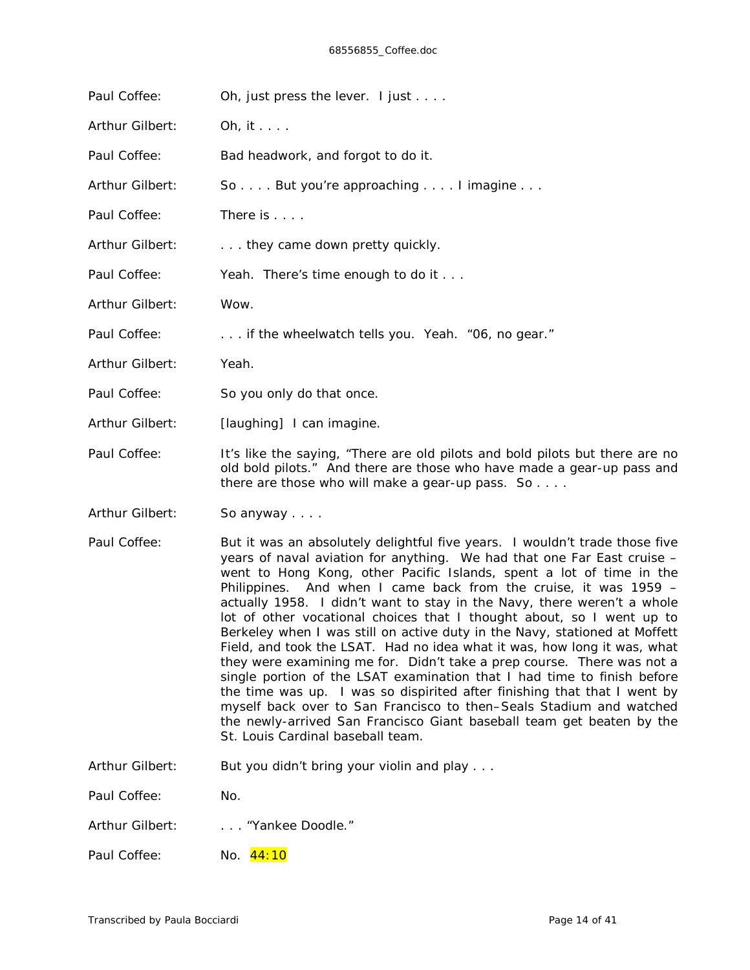| Paul Coffee:    | Oh, just press the lever. I just                                                                                                                                                                           |  |  |  |
|-----------------|------------------------------------------------------------------------------------------------------------------------------------------------------------------------------------------------------------|--|--|--|
| Arthur Gilbert: | Oh, it $\ldots$ .                                                                                                                                                                                          |  |  |  |
| Paul Coffee:    | Bad headwork, and forgot to do it.                                                                                                                                                                         |  |  |  |
| Arthur Gilbert: | So But you're approaching I imagine                                                                                                                                                                        |  |  |  |
| Paul Coffee:    | There is                                                                                                                                                                                                   |  |  |  |
| Arthur Gilbert: | they came down pretty quickly.                                                                                                                                                                             |  |  |  |
| Paul Coffee:    | Yeah. There's time enough to do it                                                                                                                                                                         |  |  |  |
| Arthur Gilbert: | Wow.                                                                                                                                                                                                       |  |  |  |
| Paul Coffee:    | if the wheelwatch tells you. Yeah. "06, no gear."                                                                                                                                                          |  |  |  |
| Arthur Gilbert: | Yeah.                                                                                                                                                                                                      |  |  |  |
| Paul Coffee:    | So you only do that once.                                                                                                                                                                                  |  |  |  |
| Arthur Gilbert: | [laughing] I can imagine.                                                                                                                                                                                  |  |  |  |
| Paul Coffee:    | It's like the saying, "There are old pilots and bold pilots but there are no<br>old bold pilots." And there are those who have made a gear-up pass and<br>there are those who will make a gear-up pass. So |  |  |  |

Arthur Gilbert: So anyway . . . .

- Paul Coffee: But it was an absolutely delightful five years. I wouldn't trade those five years of naval aviation for anything. We had that one Far East cruise – went to Hong Kong, other Pacific Islands, spent a lot of time in the Philippines. And when I came back from the cruise, it was 1959 – actually 1958. I didn't want to stay in the Navy, there weren't a whole lot of other vocational choices that I thought about, so I went up to Berkeley when I was still on active duty in the Navy, stationed at Moffett Field, and took the LSAT. Had *no idea* what it was, how long it was, what they were examining me for. Didn't take a prep course. There was not a single portion of the LSAT examination that I had time to finish before the time was up. I was so dispirited after finishing that that I went by myself back over to San Francisco to then–Seals Stadium and watched the newly-arrived San Francisco Giant baseball team get beaten by the St. Louis Cardinal baseball team.
- Arthur Gilbert: But you didn't bring your violin and play . . .

Paul Coffee: No.

- Arthur Gilbert: . . . . . "Yankee Doodle."
- Paul Coffee: No. 44:10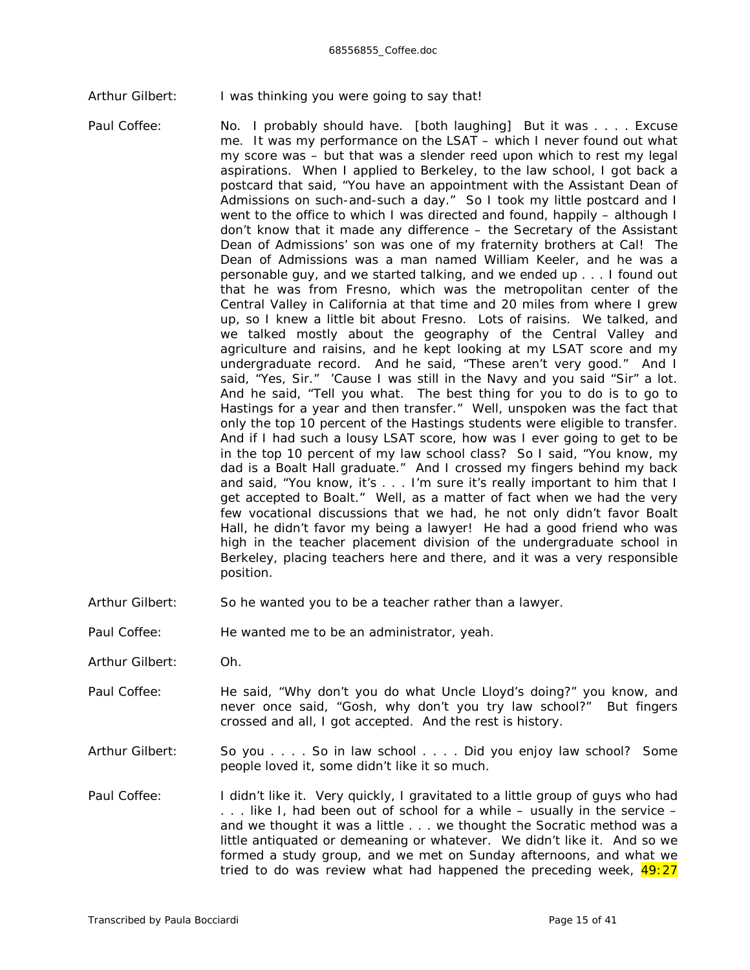Arthur Gilbert: I was thinking you were going to say that!

- Paul Coffee: No. I probably should have. *[both laughing]* But it was . . . . Excuse me. It was my performance on the LSAT – which I never found out what my score was – but that was a slender reed upon which to rest my legal aspirations. When I applied to Berkeley, to the law school, I got back a postcard that said, "You have an appointment with the Assistant Dean of Admissions on such-and-such a day." So I took my little postcard and I went to the office to which I was directed and found, happily – although I don't know that it made any difference – the Secretary of the Assistant Dean of Admissions' son was one of my fraternity brothers at Cal! The Dean of Admissions was a man named William Keeler, and he was a personable guy, and we started talking, and we ended up . . . I found out that he was from Fresno, which was the metropolitan center of the Central Valley in California at that time and 20 miles from where I grew up, so I knew a little bit about Fresno. Lots of raisins. We talked, and we talked mostly about the geography of the Central Valley and agriculture and raisins, and he kept looking at my LSAT score and my undergraduate record. And he said, "These aren't very good." And I said, "Yes, Sir." 'Cause I was still in the Navy and you said "Sir" a lot. And he said, "Tell you what. The best thing for you to do is to go to Hastings for a year and then transfer." Well, unspoken was the fact that only the top 10 percent of the Hastings students were *eligible* to transfer. And if I had such a lousy LSAT score, how was I ever going to get to be in the top 10 percent of my law school class? So I said, "You know, my dad is a Boalt Hall graduate." And I crossed my fingers behind my back and said, "You know, it's . . . I'm sure it's really important to him that I get accepted to Boalt." Well, as a matter of fact when we had the very few vocational discussions that we had, he not only didn't favor Boalt Hall, he didn't favor my being a lawyer! He had a good friend who was high in the teacher placement division of the undergraduate school in Berkeley, placing teachers here and there, and it was a very responsible position.
- Arthur Gilbert: So he wanted you to be a teacher rather than a lawyer.
- Paul Coffee: He wanted me to be an administrator, yeah.
- Arthur Gilbert: Oh.
- Paul Coffee: He said, "Why don't you do what Uncle Lloyd's doing?" you know, and never once said, "Gosh, why don't you try law school?" But fingers crossed and all, I got accepted. And the rest is history.
- Arthur Gilbert: So you . . . . So in law school . . . . Did you enjoy law school? Some people loved it, some didn't like it so much.
- Paul Coffee: I didn't like it. Very quickly, I gravitated to a little group of guys who had . . . like I, had been out of school for a while – usually in the service – and we thought it was a little . . . we thought the Socratic method was a little antiquated or demeaning or whatever. We didn't like it. And so we formed a study group, and we met on Sunday afternoons, and what we tried to do was review what had happened the preceding week,  $49:27$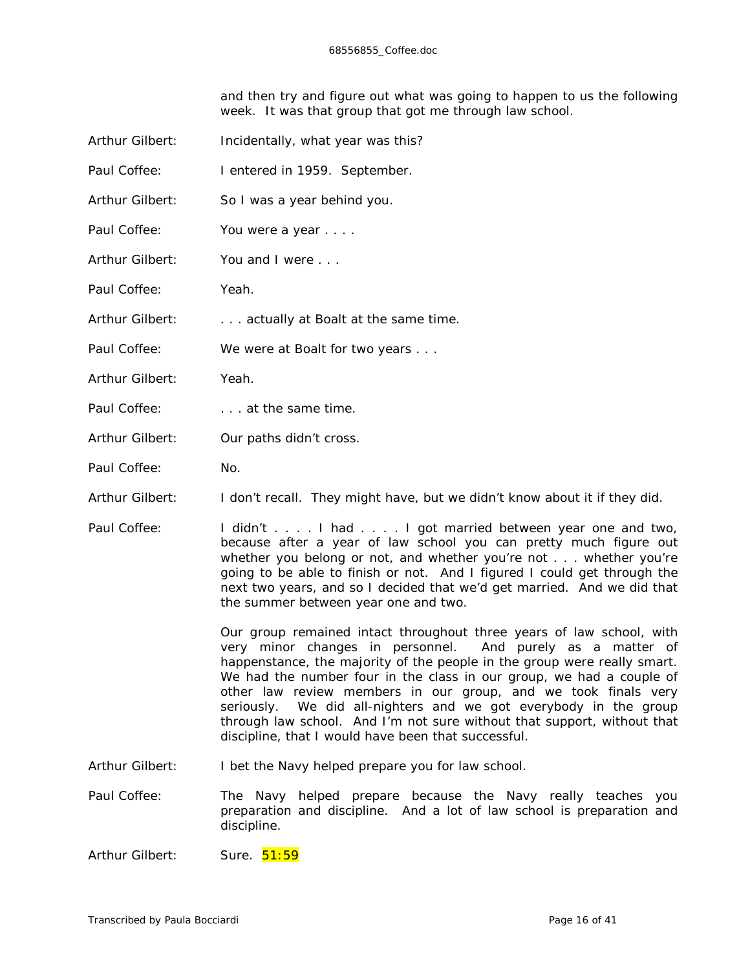and then try and figure out what was going to happen to us the *following* week. It was that group that got me through law school.

| Arthur Gilbert: | Incidentally, what year was this?                                                                                                                                                                                                                                                                                                                                                                                                                                                                                                                                    |  |  |  |
|-----------------|----------------------------------------------------------------------------------------------------------------------------------------------------------------------------------------------------------------------------------------------------------------------------------------------------------------------------------------------------------------------------------------------------------------------------------------------------------------------------------------------------------------------------------------------------------------------|--|--|--|
| Paul Coffee:    | I entered in 1959. September.                                                                                                                                                                                                                                                                                                                                                                                                                                                                                                                                        |  |  |  |
| Arthur Gilbert: | So I was a year behind you.                                                                                                                                                                                                                                                                                                                                                                                                                                                                                                                                          |  |  |  |
| Paul Coffee:    | You were a year                                                                                                                                                                                                                                                                                                                                                                                                                                                                                                                                                      |  |  |  |
| Arthur Gilbert: | You and I were                                                                                                                                                                                                                                                                                                                                                                                                                                                                                                                                                       |  |  |  |
| Paul Coffee:    | Yeah.                                                                                                                                                                                                                                                                                                                                                                                                                                                                                                                                                                |  |  |  |
| Arthur Gilbert: | actually at Boalt at the same time.                                                                                                                                                                                                                                                                                                                                                                                                                                                                                                                                  |  |  |  |
| Paul Coffee:    | We were at Boalt for two years                                                                                                                                                                                                                                                                                                                                                                                                                                                                                                                                       |  |  |  |
| Arthur Gilbert: | Yeah.                                                                                                                                                                                                                                                                                                                                                                                                                                                                                                                                                                |  |  |  |
| Paul Coffee:    | at the same time.                                                                                                                                                                                                                                                                                                                                                                                                                                                                                                                                                    |  |  |  |
| Arthur Gilbert: | Our paths didn't cross.                                                                                                                                                                                                                                                                                                                                                                                                                                                                                                                                              |  |  |  |
| Paul Coffee:    | No.                                                                                                                                                                                                                                                                                                                                                                                                                                                                                                                                                                  |  |  |  |
| Arthur Gilbert: | I don't recall. They might have, but we didn't know about it if they did.                                                                                                                                                                                                                                                                                                                                                                                                                                                                                            |  |  |  |
| Paul Coffee:    | I didn't I had I got married between year one and two,<br>because after a year of law school you can pretty much figure out<br>whether you belong or not, and whether you're not whether you're<br>going to be able to finish or not. And I figured I could get through the<br>next two years, and so I decided that we'd get married. And we did that<br>the summer between year one and two.                                                                                                                                                                       |  |  |  |
|                 | Our group remained intact throughout three years of law school, with<br>very minor changes in personnel.<br>And purely as a matter of<br>happenstance, the majority of the people in the group were really smart.<br>We had the number four in the class in our group, we had a couple of<br>other law review members in our group, and we took finals very<br>We did all-nighters and we got everybody in the group<br>seriously.<br>through law school. And I'm not sure without that support, without that<br>discipline, that I would have been that successful. |  |  |  |
| Arthur Gilbert: | I bet the Navy helped prepare you for law school.                                                                                                                                                                                                                                                                                                                                                                                                                                                                                                                    |  |  |  |
|                 |                                                                                                                                                                                                                                                                                                                                                                                                                                                                                                                                                                      |  |  |  |

Paul Coffee: The Navy helped prepare because the Navy really teaches you preparation and discipline. And a lot of law school is preparation and discipline.

Arthur Gilbert: Sure. 51:59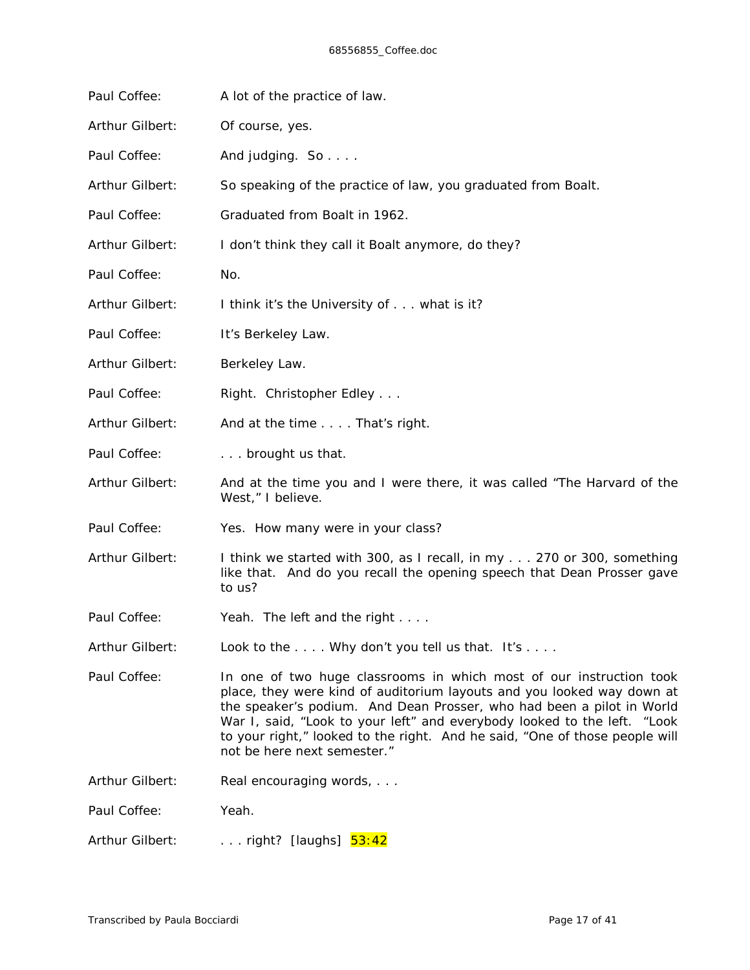| Paul Coffee:    | A lot of the practice of law.                                                                                                                                                                                                                                                                                                                                                                                    |  |  |
|-----------------|------------------------------------------------------------------------------------------------------------------------------------------------------------------------------------------------------------------------------------------------------------------------------------------------------------------------------------------------------------------------------------------------------------------|--|--|
| Arthur Gilbert: | Of course, yes.                                                                                                                                                                                                                                                                                                                                                                                                  |  |  |
| Paul Coffee:    | And judging. So                                                                                                                                                                                                                                                                                                                                                                                                  |  |  |
| Arthur Gilbert: | So speaking of the practice of law, you graduated from Boalt.                                                                                                                                                                                                                                                                                                                                                    |  |  |
| Paul Coffee:    | Graduated from Boalt in 1962.                                                                                                                                                                                                                                                                                                                                                                                    |  |  |
| Arthur Gilbert: | I don't think they call it Boalt anymore, do they?                                                                                                                                                                                                                                                                                                                                                               |  |  |
| Paul Coffee:    | No.                                                                                                                                                                                                                                                                                                                                                                                                              |  |  |
| Arthur Gilbert: | I think it's the University of what is it?                                                                                                                                                                                                                                                                                                                                                                       |  |  |
| Paul Coffee:    | It's Berkeley Law.                                                                                                                                                                                                                                                                                                                                                                                               |  |  |
| Arthur Gilbert: | Berkeley Law.                                                                                                                                                                                                                                                                                                                                                                                                    |  |  |
| Paul Coffee:    | Right. Christopher Edley                                                                                                                                                                                                                                                                                                                                                                                         |  |  |
| Arthur Gilbert: | And at the time That's right.                                                                                                                                                                                                                                                                                                                                                                                    |  |  |
| Paul Coffee:    | brought us that.                                                                                                                                                                                                                                                                                                                                                                                                 |  |  |
| Arthur Gilbert: | And at the time you and I were there, it was called "The Harvard of the<br>West," I believe.                                                                                                                                                                                                                                                                                                                     |  |  |
| Paul Coffee:    | Yes. How many were in your class?                                                                                                                                                                                                                                                                                                                                                                                |  |  |
| Arthur Gilbert: | I think we started with 300, as I recall, in my 270 or 300, something<br>like that. And do you recall the opening speech that Dean Prosser gave<br>to us?                                                                                                                                                                                                                                                        |  |  |
| Paul Coffee:    | Yeah. The left and the right                                                                                                                                                                                                                                                                                                                                                                                     |  |  |
| Arthur Gilbert: | Look to the $\dots$ . Why don't you tell us that. It's $\dots$ .                                                                                                                                                                                                                                                                                                                                                 |  |  |
| Paul Coffee:    | In one of two huge classrooms in which most of our instruction took<br>place, they were kind of auditorium layouts and you looked way down at<br>the speaker's podium. And Dean Prosser, who had been a pilot in World<br>War I, said, "Look to your left" and everybody looked to the left. "Look<br>to your right," looked to the right. And he said, "One of those people will<br>not be here next semester." |  |  |
| Arthur Gilbert: | Real encouraging words,                                                                                                                                                                                                                                                                                                                                                                                          |  |  |
| Paul Coffee:    | Yeah.                                                                                                                                                                                                                                                                                                                                                                                                            |  |  |
| Arthur Gilbert: | right? [laughs] 53:42                                                                                                                                                                                                                                                                                                                                                                                            |  |  |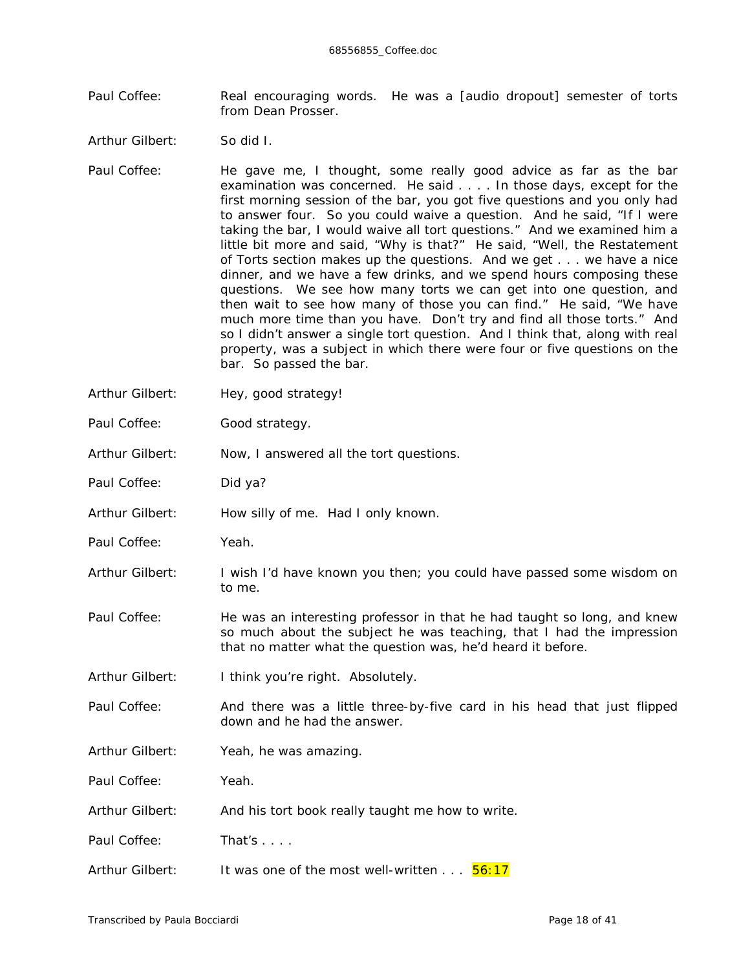- Paul Coffee: Real encouraging words. He was a *[audio dropout]* semester of torts from Dean Prosser.
- Arthur Gilbert: So did I.
- Paul Coffee: He gave me, *I* thought, some really good advice as far as the bar examination was concerned. He said . . . . In those days, except for the first morning session of the bar, you got five questions and you only had to answer four. So you could waive a question. And he said, "If I were taking the bar, I would waive all tort questions." And we examined him a little bit more and said, "Why is that?" He said, "Well, the Restatement of Torts section makes up the questions. And we get . . . we have a nice dinner, and we have a few drinks, and we spend *hours* composing these questions. We see how many torts we can get into one question, and then wait to see how many of those you can find." He said, "We have much more time than you have. Don't try and find all those torts." And so I didn't answer a single tort question. And I think that, along with real property, was a subject in which there were four or five questions on the bar. So passed the bar.
- Arthur Gilbert: Hey, good strategy!
- Paul Coffee: Good strategy.
- Arthur Gilbert: Now, I answered all the tort questions.
- Paul Coffee: Did ya?
- Arthur Gilbert: How silly of me. Had I only known.
- Paul Coffee: Yeah.
- Arthur Gilbert: I wish I'd have known you then; you could have passed some wisdom on to me.
- Paul Coffee: He was an interesting professor in that he had taught *so* long, and knew *so* much about the subject he was teaching, that I had the impression that no matter what the question was, he'd heard it before.
- Arthur Gilbert: I think you're right. Absolutely.
- Paul Coffee: And there was a little three-by-five card in his head that just flipped down and he had the answer.
- Arthur Gilbert: Yeah, he was amazing.

Paul Coffee: Yeah.

- Arthur Gilbert: And his tort book really taught me how to write.
- Paul Coffee: That's . . . .
- Arthur Gilbert: It was one of the most well-written . . . 56:17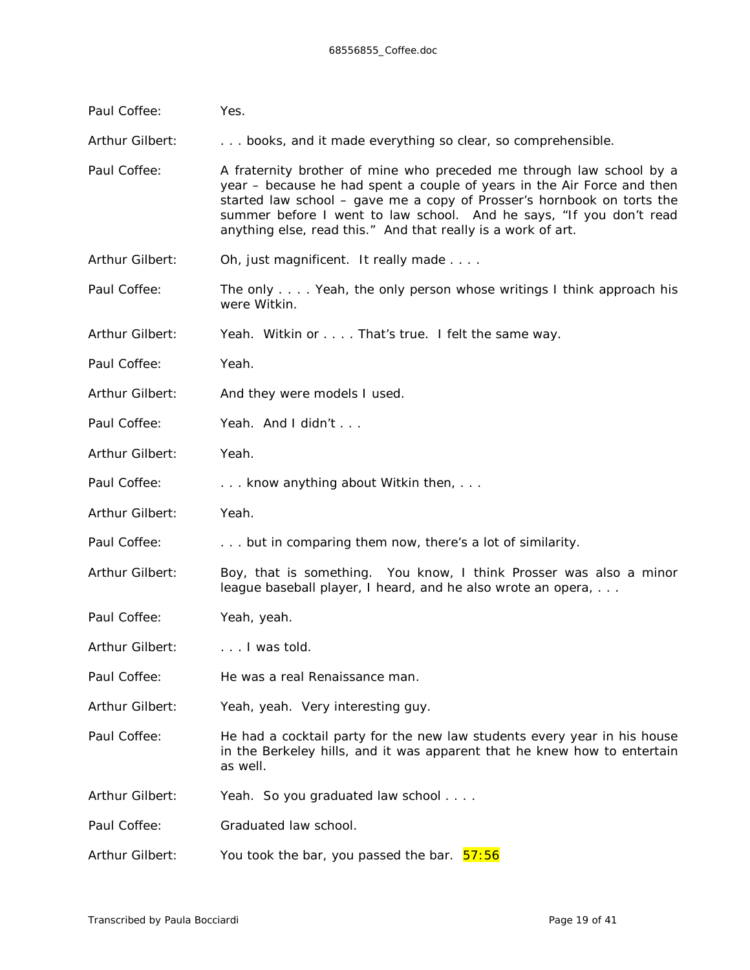| Paul Coffee:    | Yes.                                                                                                                                                                                                                                                                                                                                                             |  |  |  |
|-----------------|------------------------------------------------------------------------------------------------------------------------------------------------------------------------------------------------------------------------------------------------------------------------------------------------------------------------------------------------------------------|--|--|--|
| Arthur Gilbert: | books, and it made everything so clear, so comprehensible.                                                                                                                                                                                                                                                                                                       |  |  |  |
| Paul Coffee:    | A fraternity brother of mine who preceded me through law school by a<br>year – because he had spent a couple of years in the Air Force and then<br>started law school - gave me a copy of Prosser's hornbook on torts the<br>summer before I went to law school. And he says, "If you don't read<br>anything else, read this." And that really is a work of art. |  |  |  |
| Arthur Gilbert: | Oh, just magnificent. It really made                                                                                                                                                                                                                                                                                                                             |  |  |  |
| Paul Coffee:    | The only Yeah, the only person whose writings I think approach his<br>were Witkin.                                                                                                                                                                                                                                                                               |  |  |  |
| Arthur Gilbert: | Yeah. Witkin or That's true. I felt the same way.                                                                                                                                                                                                                                                                                                                |  |  |  |
| Paul Coffee:    | Yeah.                                                                                                                                                                                                                                                                                                                                                            |  |  |  |
| Arthur Gilbert: | And they were models / used.                                                                                                                                                                                                                                                                                                                                     |  |  |  |
| Paul Coffee:    | Yeah. And I didn't                                                                                                                                                                                                                                                                                                                                               |  |  |  |
| Arthur Gilbert: | Yeah.                                                                                                                                                                                                                                                                                                                                                            |  |  |  |
| Paul Coffee:    | know anything about Witkin then,                                                                                                                                                                                                                                                                                                                                 |  |  |  |
| Arthur Gilbert: | Yeah.                                                                                                                                                                                                                                                                                                                                                            |  |  |  |
| Paul Coffee:    | but in comparing them now, there's a lot of similarity.                                                                                                                                                                                                                                                                                                          |  |  |  |
| Arthur Gilbert: | Boy, that is something. You know, I think Prosser was also a minor<br>league baseball player, I heard, and he also wrote an opera,                                                                                                                                                                                                                               |  |  |  |
| Paul Coffee:    | Yeah, yeah.                                                                                                                                                                                                                                                                                                                                                      |  |  |  |
| Arthur Gilbert: | I was told.                                                                                                                                                                                                                                                                                                                                                      |  |  |  |
| Paul Coffee:    | He was a real Renaissance man.                                                                                                                                                                                                                                                                                                                                   |  |  |  |
| Arthur Gilbert: | Yeah, yeah. Very interesting guy.                                                                                                                                                                                                                                                                                                                                |  |  |  |
| Paul Coffee:    | He had a cocktail party for the new law students every year in his house<br>in the Berkeley hills, and it was apparent that he knew how to entertain<br>as well.                                                                                                                                                                                                 |  |  |  |
| Arthur Gilbert: | Yeah. So you graduated law school                                                                                                                                                                                                                                                                                                                                |  |  |  |
| Paul Coffee:    | Graduated law school.                                                                                                                                                                                                                                                                                                                                            |  |  |  |
| Arthur Gilbert: | You took the bar, you passed the bar. 57:56                                                                                                                                                                                                                                                                                                                      |  |  |  |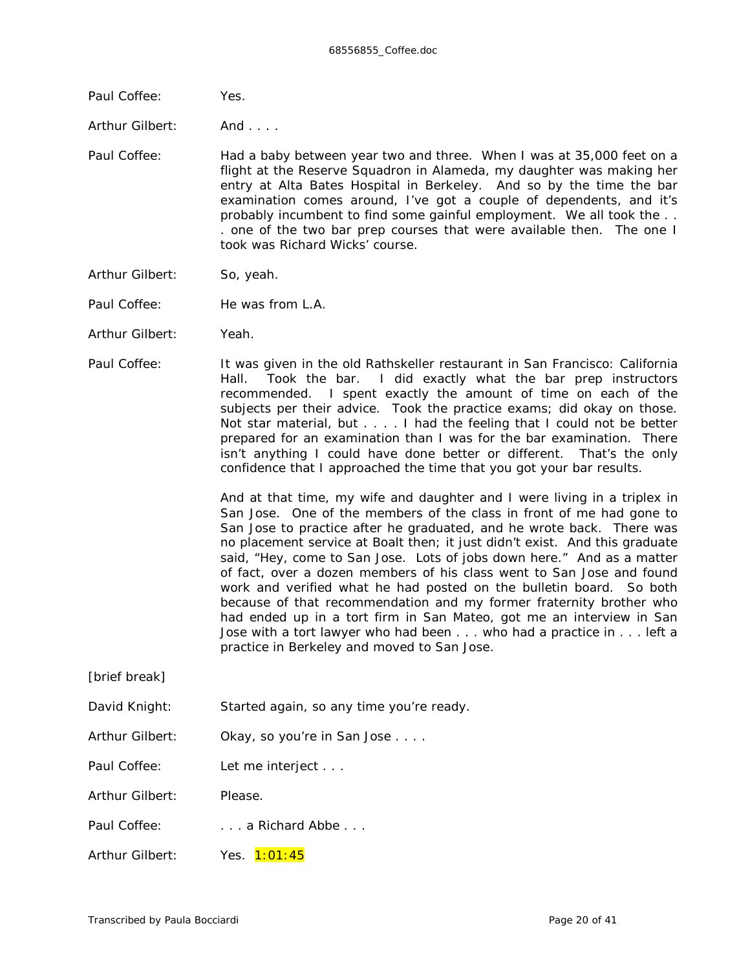Paul Coffee: Yes.

Arthur Gilbert: And . . . .

- Paul Coffee: Had a baby between year two and three. When I was at 35,000 feet on a flight at the Reserve Squadron in Alameda, my daughter was making her entry at Alta Bates Hospital in Berkeley. And so by the time the bar examination comes around, I've got a couple of dependents, and it's probably incumbent to find some gainful employment. We all took the . . . one of the two bar prep courses that were available then. The one I took was Richard Wicks' course.
- Arthur Gilbert: So, yeah.
- Paul Coffee: He was from L.A.
- Arthur Gilbert: Yeah.
- Paul Coffee: It was given in the old Rathskeller restaurant in San Francisco: California Hall. Took the bar. I did *exactly* what the bar prep instructors recommended. I spent *exactly* the amount of time on each of the subjects per their advice. Took the practice exams; did okay on those. Not star material, but . . . . I had the feeling that I could not be better prepared for an examination than I was for the bar examination. There isn't anything I could have done better or different. That's the only confidence that I approached the time that you got your bar results.

And at that time, my wife and daughter and I were living in a triplex in San Jose. One of the members of the class in front of me had gone to San Jose to practice after he graduated, and he wrote back. There was no placement service at Boalt then; it just didn't exist. And this graduate said, "Hey, come to San Jose. Lots of jobs down here." And as a matter of fact, over a dozen members of *his* class went to San Jose and found work and verified what he had posted on the bulletin board. So both because of *that* recommendation and my former fraternity brother who had ended up in a tort firm in San Mateo, got me an interview in San Jose with a tort lawyer who had been . . . who had a practice in . . . left a practice in Berkeley and moved to San Jose.

*[brief break]*

- David Knight: Started again, so any time you're ready.
- Arthur Gilbert: Okay, so you're in San Jose . . . .
- Paul Coffee: Let me interject . . .
- Arthur Gilbert: Please.
- Paul Coffee: . . . . . . . a Richard Abbe . . .
- Arthur Gilbert: Yes. 1:01:45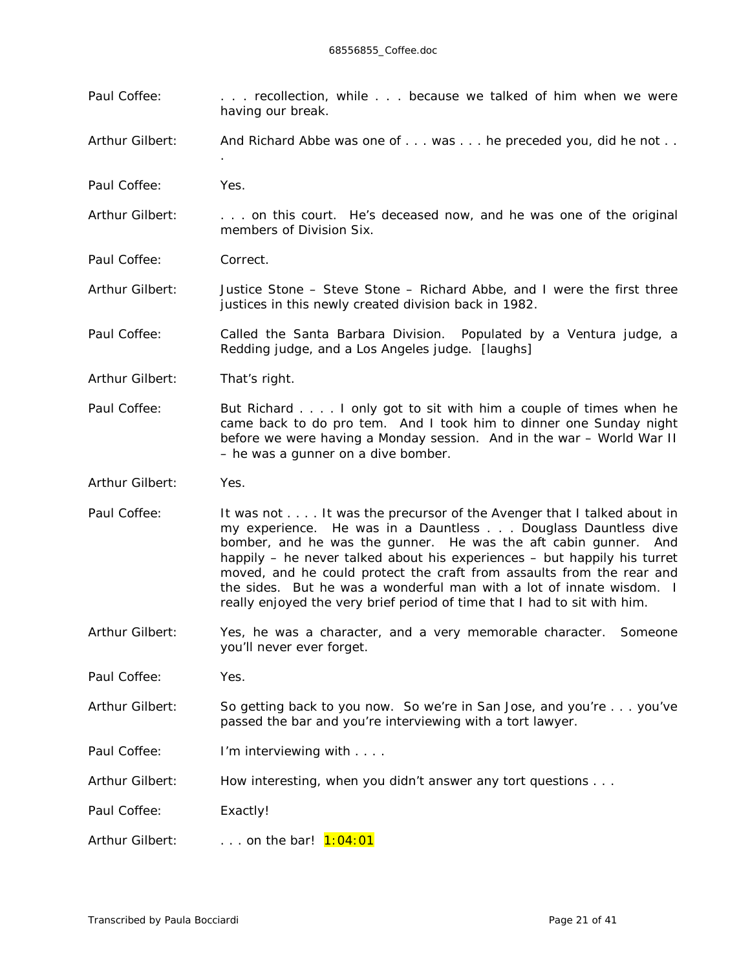- Paul Coffee: . . . . . . recollection, while . . . because we talked of him when we were having our break.
- Arthur Gilbert: And Richard Abbe was one of . . . was . . . he preceded you, did he not . .
- Paul Coffee: Yes.
- Arthur Gilbert: . . . . on this court. He's deceased now, and he was one of the original members of Division Six.
- Paul Coffee: Correct.

.

- Arthur Gilbert: Justice Stone Steve Stone Richard Abbe, and I were the first three justices in this newly created division back in 1982.
- Paul Coffee: Called the Santa Barbara Division. Populated by a Ventura judge, a Redding judge, and a Los Angeles judge. *[laughs]*
- Arthur Gilbert: That's right.
- Paul Coffee: But Richard . . . . I only got to sit with him a couple of times when he came back to do pro tem. And I took him to dinner one Sunday night before we were having a Monday session. And in the war – World War II – he was a gunner on a dive bomber.
- Arthur Gilbert: Yes.
- Paul Coffee: It was not . . . . It was the precursor of the Avenger that I talked about in *my* experience. He was in a Dauntless . . . Douglass Dauntless dive bomber, and he was the gunner. He was the aft cabin gunner. And happily – he never talked about his experiences – but happily his turret moved, and he could protect the craft from assaults from the rear and the sides. But he was a wonderful man with a lot of innate wisdom. I really enjoyed the very brief period of time that I had to sit with him.
- Arthur Gilbert: Yes, he was a character, and a *very* memorable character. Someone you'll never ever forget.
- Paul Coffee: Yes.
- Arthur Gilbert: So getting back to you now. So we're in San Jose, and you're . . . you've passed the bar and you're interviewing with a tort lawyer.
- Paul Coffee: I'm interviewing with . . . .
- Arthur Gilbert: How interesting, when you didn't answer any tort questions . . .
- Paul Coffee: Exactly!
- Arthur Gilbert: . . . . on the bar! 1:04:01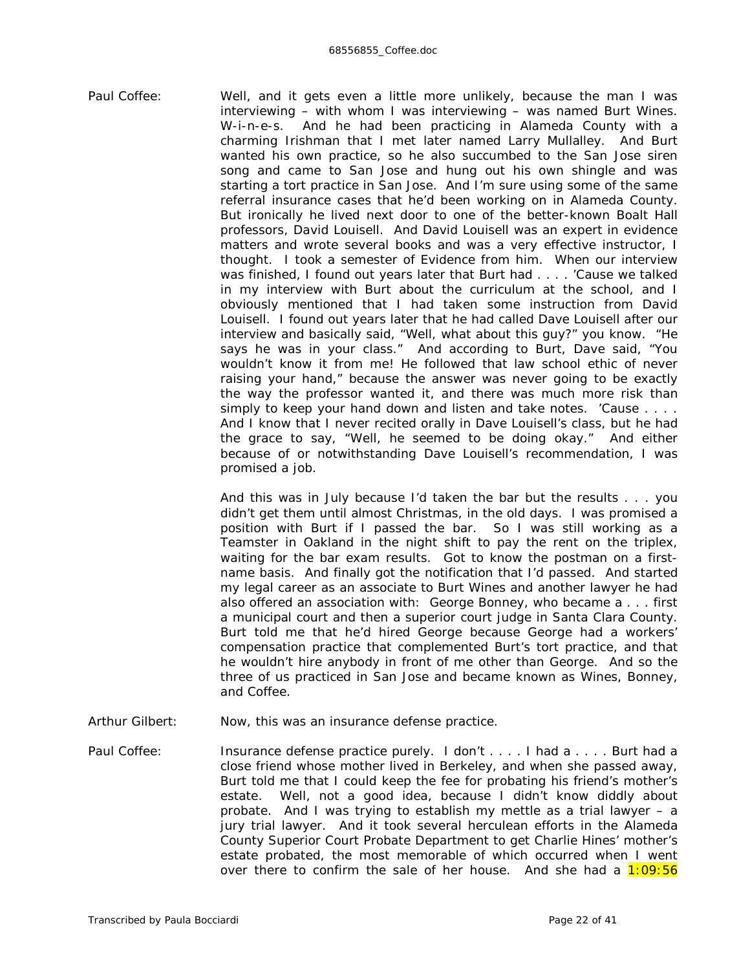Paul Coffee: Well, and it gets even a little more unlikely, because the man I was interviewing – with whom I was interviewing – was named Burt Wines. W-i-n-e-s. And he had been practicing in Alameda County with a charming Irishman that I met later named Larry Mullalley. And Burt wanted his own practice, so he also succumbed to the San Jose siren song and came to San Jose and hung out his own shingle and was starting a tort practice in San Jose. And I'm sure using some of the same referral insurance cases that he'd been working on in Alameda County. But ironically he lived next door to one of the better-known Boalt Hall professors, David Louisell. And David Louisell was an expert in evidence matters and wrote several books and was a very effective instructor, I thought. I took a semester of Evidence from him. When our interview was finished, I found out years later that Burt had . . . . 'Cause we talked in my interview with Burt about the curriculum at the school, and I obviously mentioned that I had taken some instruction from David Louisell. I found out years later that he had called Dave Louisell after our interview and basically said, "Well, what about *this* guy?" you know. "He says he was in your class." And according to Burt, Dave said, "You wouldn't know it from me! He followed that law school ethic of never raising your hand," because the answer was never going to be exactly the way the professor wanted it, and there was much more risk than simply to keep your hand down and listen and take notes. 'Cause . . . . And I *know* that I never recited orally in Dave Louisell's class, but he had the grace to say, "Well, he seemed to be doing okay." And either because of or notwithstanding Dave Louisell's recommendation, I was promised a job.

> And this was in July because I'd taken the bar but the results . . . you didn't get them until almost Christmas, in the old days. I was promised a position with Burt if I passed the bar. So I was still working as a Teamster in Oakland in the night shift to pay the rent on the triplex, waiting for the bar exam results. Got to know the postman on a firstname basis. And finally got the notification that I'd passed. And started my legal career as an associate to Burt Wines and another lawyer he had also offered an association with: George Bonney, who became a . . . first a municipal court and then a superior court judge in Santa Clara County. Burt told me that he'd hired George because George had a workers' compensation practice that complemented Burt's tort practice, and that he wouldn't hire anybody in front of me other than George. And so the three of us practiced in San Jose and became known as Wines, Bonney, and Coffee.

- Arthur Gilbert: Now, this was an insurance defense practice.
- Paul Coffee: Insurance defense practice purely. I don't . . . . I had a . . . . Burt had a close friend whose mother lived in Berkeley, and when she passed away, Burt told me that I could keep the fee for probating his friend's mother's estate. Well, not a good idea, because I didn't know diddly about probate. And I was trying to establish my mettle as a trial lawyer – a jury trial lawyer. And it took several herculean efforts in the Alameda County Superior Court Probate Department to get Charlie Hines' mother's estate probated, the most memorable of which occurred when I went over there to confirm the sale of her house. And she had a  $1:09:56$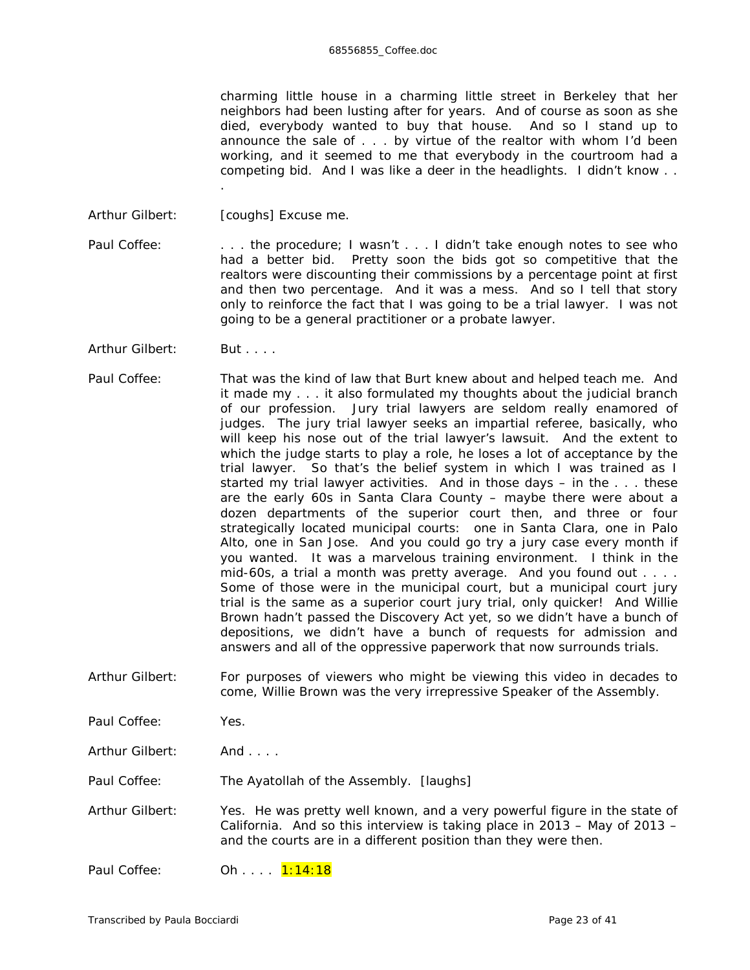charming little house in a charming little street in Berkeley that her neighbors had been lusting after for *years*. And of course as soon as she died, *everybody* wanted to buy that house. And so I stand up to announce the sale of . . . by virtue of the realtor with whom I'd been working, and it seemed to me that everybody in the courtroom had a competing bid. And I was like a deer in the headlights. I didn't know . .

Arthur Gilbert: *[coughs]* Excuse me.

.

Paul Coffee: . . . . . the procedure; I wasn't . . . I didn't take enough notes to see who had a better bid. Pretty soon the bids got so competitive that the realtors were discounting their commissions by a percentage point at first and then two percentage. And it was a mess. And so I tell that story only to reinforce the fact that I was going to be a trial lawyer. I was not going to be a general practitioner or a probate lawyer.

- Arthur Gilbert: But . . . .
- Paul Coffee: That was the kind of law that Burt knew about and helped teach me. And it made my . . . it also formulated my thoughts about the judicial branch of our profession. Jury trial lawyers are seldom really enamored of judges. The jury trial lawyer seeks an impartial referee, basically, who will keep his nose out of the trial lawyer's lawsuit. And the extent to which the judge starts to play a role, he loses a lot of acceptance by the trial lawyer. So that's the belief system in which I was trained as I started my trial lawyer activities. And in those days – in the . . . these are the early 60s in Santa Clara County – maybe there were about a dozen departments of the superior court then, and three or four strategically located municipal courts: one in Santa Clara, one in Palo Alto, one in San Jose. And you could go try a jury case every *month* if you wanted. It was a *marvelous* training environment. I think in the mid-60s, a trial a month was pretty average. And you found out . . . . Some of those were in the municipal court, but a municipal court jury trial is the same as a superior court jury trial, only quicker! And Willie Brown hadn't passed the Discovery Act yet, so we didn't have a bunch of depositions, we didn't have a bunch of requests for admission and answers and all of the oppressive paperwork that now surrounds trials.
- Arthur Gilbert: For purposes of viewers who might be viewing this video in decades to come, Willie Brown was the very irrepressive Speaker of the Assembly.
- Paul Coffee: Yes.
- Arthur Gilbert: And . . . .
- Paul Coffee: The Ayatollah of the Assembly. *[laughs]*
- Arthur Gilbert: Yes. He was pretty well known, and a very powerful figure in the state of California. And so this interview is taking place in 2013 – May of 2013 – and the courts are in a different position than they were then.
- Paul Coffee: 0h . . . . 1:14:18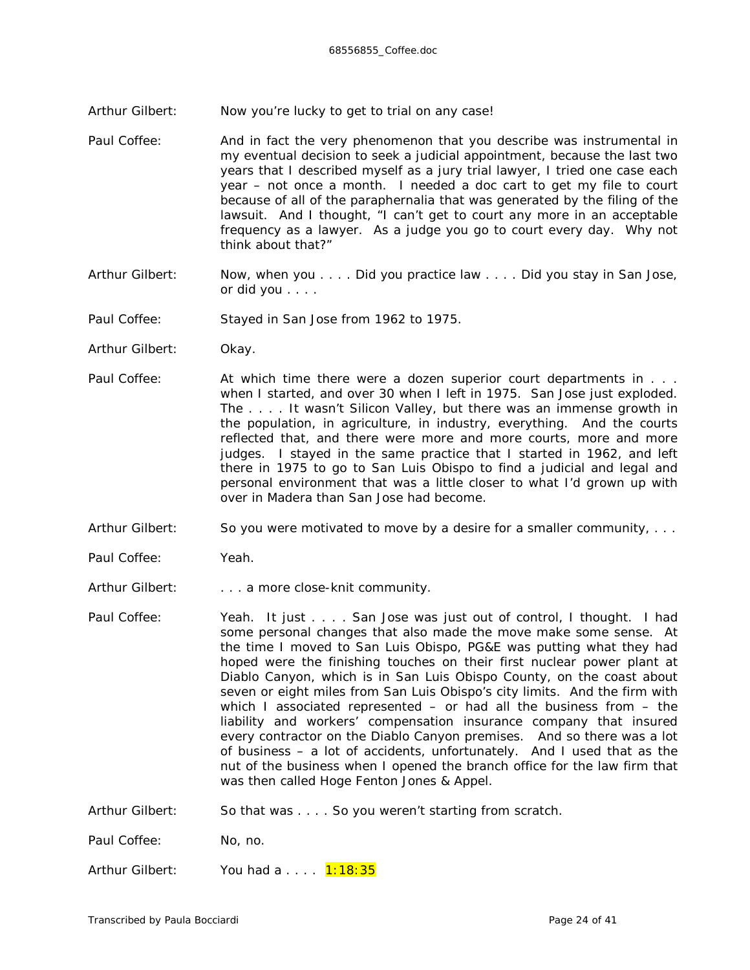- Arthur Gilbert: Now you're lucky to *get* to trial on *any* case!
- Paul Coffee: And in fact the very phenomenon that you describe was instrumental in my eventual decision to seek a judicial appointment, because the last two years that I described myself as a jury trial lawyer, I tried one case each *year* – not once a month. I needed a doc cart to get my file *to* court because of all of the paraphernalia that was generated by the *filing* of the lawsuit. And I thought, "I can't get to court any more in an acceptable frequency as a lawyer. As a judge you go to court every *day*. Why not think about that?"
- Arthur Gilbert: Now, when you . . . . Did you practice law . . . . Did you stay in San Jose, or did you . . . .
- Paul Coffee: Stayed in San Jose from 1962 to 1975.
- Arthur Gilbert: Okay.
- Paul Coffee: At which time there were a dozen superior court departments in . . . when I started, and over 30 when I left in 1975. San Jose just exploded. The . . . . It wasn't Silicon Valley, but there was an immense growth in the population, in agriculture, in industry, everything. And the courts reflected that, and there were more and more courts, more and more judges. I stayed in the same practice that I started in 1962, and left there in 1975 to go to San Luis Obispo to find a judicial and legal and personal environment that was a little closer to what I'd grown up with over in Madera than San Jose had become.
- Arthur Gilbert: So you were motivated to move by a desire for a smaller community,  $\ldots$
- Paul Coffee: Yeah.
- Arthur Gilbert: . . . . . a more close-knit community.
- Paul Coffee: Yeah. It just . . . . San Jose was just out of control, I thought. I had some personal changes that also made the move make some sense. At the time I moved to San Luis Obispo, PG&E was putting what they had hoped were the finishing touches on their first nuclear power plant at Diablo Canyon, which is in San Luis Obispo County, on the coast about seven or eight miles from San Luis Obispo's city limits. And the firm with which I associated represented – or had all the business from – the liability and workers' compensation insurance company that insured every contractor on the Diablo Canyon premises. And so there was a lot of business – a lot of accidents, unfortunately. And I used that as the nut of the business when I opened the branch office for the law firm that was then called Hoge Fenton Jones & Appel.
- Arthur Gilbert: So that was . . . . So you weren't starting from scratch.

Paul Coffee: No, no.

Arthur Gilbert: You had a . . . . 1:18:35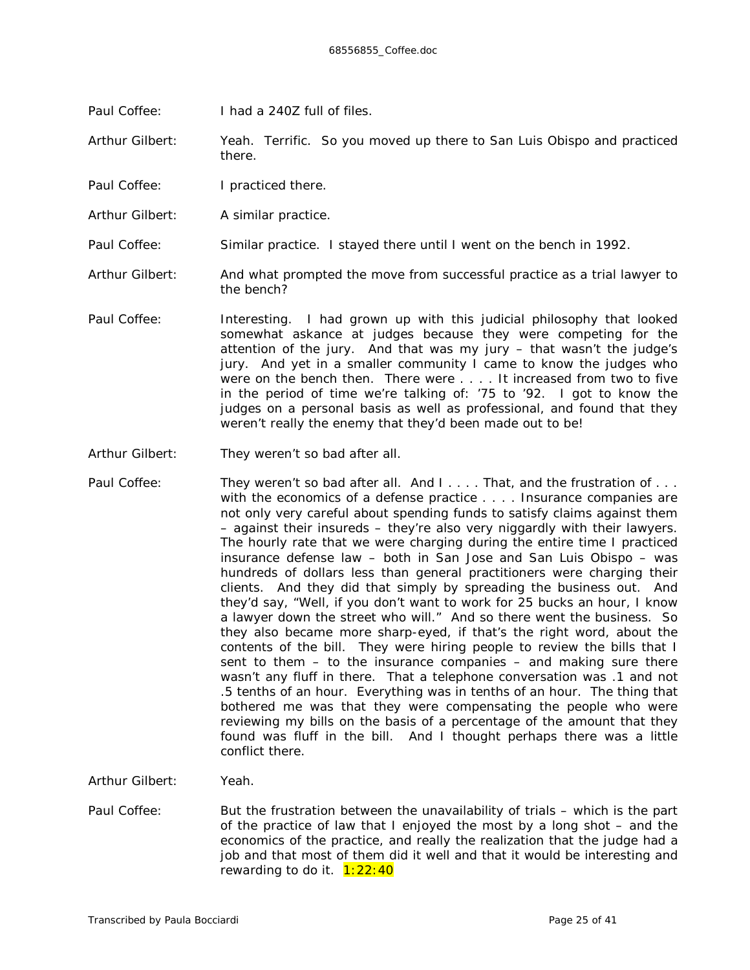Paul Coffee: I had a 240Z full of files.

Arthur Gilbert: Yeah. Terrific. So you moved up there to San Luis Obispo and practiced there.

- Paul Coffee: I practiced there.
- Arthur Gilbert: A similar practice.
- Paul Coffee: Similar practice. I stayed there until I went on the bench in 1992.
- Arthur Gilbert: And what prompted the move from successful practice as a trial lawyer to the bench?
- Paul Coffee: Interesting. I had grown up with this judicial philosophy that looked somewhat askance at judges because they were competing for the attention of the jury. And that was *my* jury – that wasn't the *judge's* jury. And yet in a smaller community I came to know the judges who were on the bench then. There were . . . . It increased from two to five in the period of time we're talking of: '75 to '92. I got to know the judges on a personal basis as well as professional, and found that they weren't really the enemy that they'd been made out to be!
- Arthur Gilbert: They weren't so bad after all.
- Paul Coffee: They weren't so bad after all. And I . . . . That, and the frustration of . . . with the economics of a defense practice . . . . Insurance companies are not only very careful about spending funds to satisfy claims against them – against their insureds – they're also very niggardly with their lawyers. The hourly rate that we were charging during the entire time I practiced insurance defense law – both in San Jose and San Luis Obispo – was hundreds of dollars less than general practitioners were charging *their* clients. And they did that simply by spreading the business out. And they'd say, "Well, if you don't want to work for 25 bucks an hour, I know a lawyer down the street who will." And so there went the business. So they also became more sharp-eyed, if that's the right word, about the contents of the bill. They were hiring people to review the bills that I sent to them – to the insurance companies – and making sure there wasn't any fluff in there. That a telephone conversation *was* .1 and not .5 tenths of an hour. Everything was in tenths of an hour. The thing that bothered me was that they were compensating the people who were reviewing my bills on the basis of a percentage of the amount that they found was fluff in the bill. And I thought perhaps there was a little conflict there.
- Arthur Gilbert: Yeah.
- Paul Coffee: But the frustration between the unavailability of trials which is the part of the practice of law that I enjoyed the most by a long shot – and the economics of the practice, and really the realization that the judge *had* a job and that most of them did it well and that it would be interesting and rewarding to do it.  $1:22:40$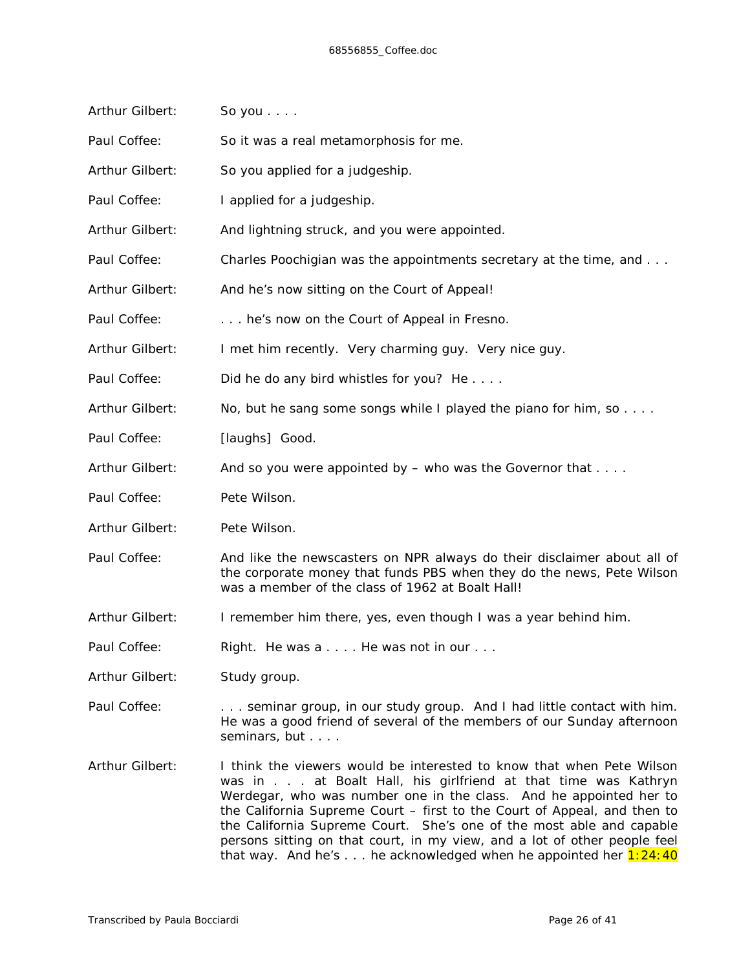| Arthur Gilbert: | So you $\ldots$ .                                                                                                                                                                                                                                                                                                                                                |  |  |  |
|-----------------|------------------------------------------------------------------------------------------------------------------------------------------------------------------------------------------------------------------------------------------------------------------------------------------------------------------------------------------------------------------|--|--|--|
| Paul Coffee:    | So it was a real metamorphosis for me.                                                                                                                                                                                                                                                                                                                           |  |  |  |
| Arthur Gilbert: | So you applied for a judgeship.                                                                                                                                                                                                                                                                                                                                  |  |  |  |
| Paul Coffee:    | I applied for a judgeship.                                                                                                                                                                                                                                                                                                                                       |  |  |  |
| Arthur Gilbert: | And lightning struck, and you were appointed.                                                                                                                                                                                                                                                                                                                    |  |  |  |
| Paul Coffee:    | Charles Poochigian was the appointments secretary at the time, and                                                                                                                                                                                                                                                                                               |  |  |  |
| Arthur Gilbert: | And he's now sitting on the Court of Appeal!                                                                                                                                                                                                                                                                                                                     |  |  |  |
| Paul Coffee:    | he's now on the Court of Appeal in Fresno.                                                                                                                                                                                                                                                                                                                       |  |  |  |
| Arthur Gilbert: | I met him recently. Very charming guy. Very nice guy.                                                                                                                                                                                                                                                                                                            |  |  |  |
| Paul Coffee:    | Did he do any bird whistles for you? He                                                                                                                                                                                                                                                                                                                          |  |  |  |
| Arthur Gilbert: | No, but he sang some songs while I played the piano for him, so $\dots$                                                                                                                                                                                                                                                                                          |  |  |  |
| Paul Coffee:    | [laughs] Good.                                                                                                                                                                                                                                                                                                                                                   |  |  |  |
| Arthur Gilbert: | And so you were appointed by $-$ who was the Governor that $\dots$ .                                                                                                                                                                                                                                                                                             |  |  |  |
| Paul Coffee:    | Pete Wilson.                                                                                                                                                                                                                                                                                                                                                     |  |  |  |
| Arthur Gilbert: | Pete Wilson.                                                                                                                                                                                                                                                                                                                                                     |  |  |  |
| Paul Coffee:    | And like the newscasters on NPR always do their disclaimer about all of<br>the corporate money that funds PBS when they do the news, Pete Wilson<br>was a member of the class of 1962 at Boalt Hall!                                                                                                                                                             |  |  |  |
| Arthur Gilbert: | I remember him there, yes, even though I was a year behind him.                                                                                                                                                                                                                                                                                                  |  |  |  |
| Paul Coffee:    | Right. He was a He was not in our                                                                                                                                                                                                                                                                                                                                |  |  |  |
| Arthur Gilbert: | Study group.                                                                                                                                                                                                                                                                                                                                                     |  |  |  |
| Paul Coffee:    | seminar group, in our study group. And I had little contact with him.<br>He was a good friend of several of the members of our Sunday afternoon<br>seminars, but                                                                                                                                                                                                 |  |  |  |
| Arthur Gilbert: | I think the viewers would be interested to know that when Pete Wilson<br>was in at Boalt Hall, his girlfriend at that time was Kathryn<br>Werdegar, who was number one in the class. And he appointed her to<br>the California Supreme Court - first to the Court of Appeal, and then to<br>the California Supreme Court. She's one of the most able and capable |  |  |  |

persons sitting on that court, in my view, and a lot of other people feel that way. And he's  $\dots$  he acknowledged when he appointed her  $1:24:40$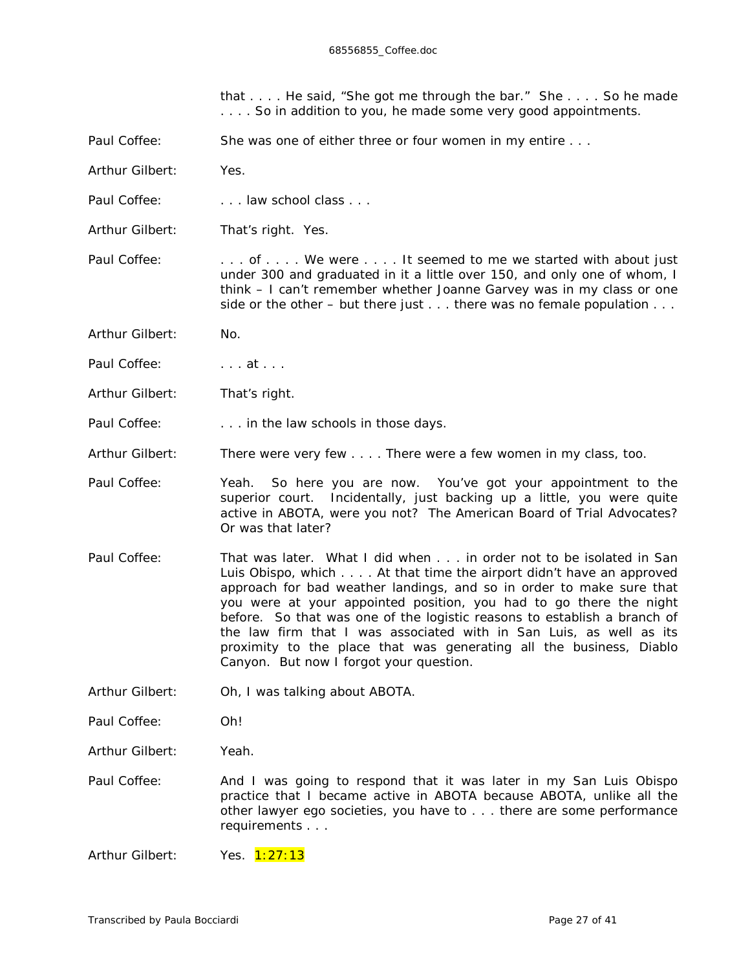that . . . . He said, "She got me through the bar." She . . . . So he made . . . . So in addition to you, he made some *very* good appointments.

- Paul Coffee: She was one of either three or four women in my entire . . .
- Arthur Gilbert: Yes.
- Paul Coffee: . . . . . law school class . . .
- Arthur Gilbert: That's right. Yes.

Paul Coffee: . . . . . of . . . . We were . . . . It seemed to me we started with about just under 300 and graduated in it a little over 150, and only one of whom, I think – I can't remember whether Joanne Garvey was in my class or one side or the other – but there just  $\dots$  there was no female population  $\dots$ 

- Arthur Gilbert: No.
- Paul Coffee: ... at ...
- Arthur Gilbert: That's right.
- Paul Coffee: . . . . . . in the law schools in those days.
- Arthur Gilbert: There were very few . . . . There were a few women in my class, too.
- Paul Coffee: Yeah. So here you are now. You've got your appointment to the superior court. Incidentally, just backing up a little, you were quite active in ABOTA, were you not? The American Board of Trial Advocates? Or was that later?
- Paul Coffee: That was later. What I did when . . . in order not to be isolated in San Luis Obispo, which . . . . At that time the airport didn't have an approved approach for bad weather landings, and so in order to make sure that you were at your appointed position, you had to go there the night before. So that was one of the logistic reasons to establish a branch of the law firm that I was associated with in San Luis, as well as its proximity to the place that was generating all the business, Diablo Canyon. But now I forgot your question.
- Arthur Gilbert: Oh, I was talking about ABOTA.
- Paul Coffee: Oh!
- Arthur Gilbert: Yeah.
- Paul Coffee: And I was going to respond that it was later in my San Luis Obispo practice that I became active in ABOTA because ABOTA, unlike all the other lawyer ego societies, you have to . . . there are some performance requirements . . .
- Arthur Gilbert: Yes. 1:27:13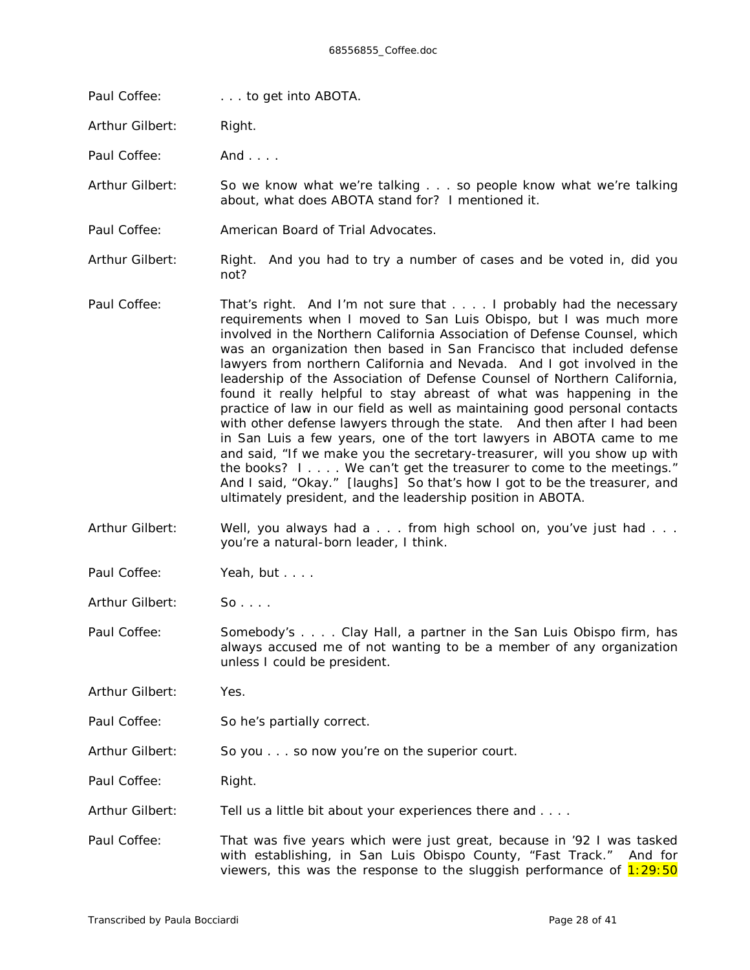Paul Coffee: . . . to get *into* ABOTA.

Arthur Gilbert: Right.

Paul Coffee: And . . . .

Arthur Gilbert: So we know what we're talking . . . so people know what we're talking about, what does ABOTA stand for? I mentioned it.

Paul Coffee: American Board of Trial Advocates.

Arthur Gilbert: Right. And you had to try a number of cases and be voted in, did you not?

- Paul Coffee: That's right. And I'm not sure that . . . . I probably had the necessary requirements when I moved to San Luis Obispo, but I was much more involved in the Northern California Association of Defense Counsel, which was an organization then based in San Francisco that included defense lawyers from northern California and Nevada. And I got involved in the leadership of the Association of Defense Counsel of Northern California, found it really helpful to stay abreast of what was happening in the practice of law in our field as well as maintaining good personal contacts with other defense lawyers through the state. And then after I had been in San Luis a few years, one of the tort lawyers in ABOTA came to me and said, "If we make you the secretary-treasurer, will you show up with the books? I . . . . We can't get the treasurer to come to the meetings." And I said, "Okay." *[laughs]* So that's how I got to be the treasurer, and ultimately president, and the leadership position in ABOTA.
- Arthur Gilbert: Well, you always had a . . . from high school on, you've just had . . . you're a natural-born leader, I think.
- Paul Coffee: Yeah, but . . . .

Arthur Gilbert: So....

Paul Coffee: Somebody's . . . . Clay Hall, a partner in the San Luis Obispo firm, has always accused me of not wanting to be a member of any organization unless I could be president.

Arthur Gilbert: Yes.

- Paul Coffee: So he's partially correct.
- Arthur Gilbert: So you . . . so now you're on the superior court.

Paul Coffee: Right.

- Arthur Gilbert: Tell us a little bit about your experiences there and ...
- Paul Coffee: That was five years which were just great, because in '92 I was tasked with establishing, in San Luis Obispo County, "Fast Track." And for viewers, this was the response to the sluggish performance of  $1:29:50$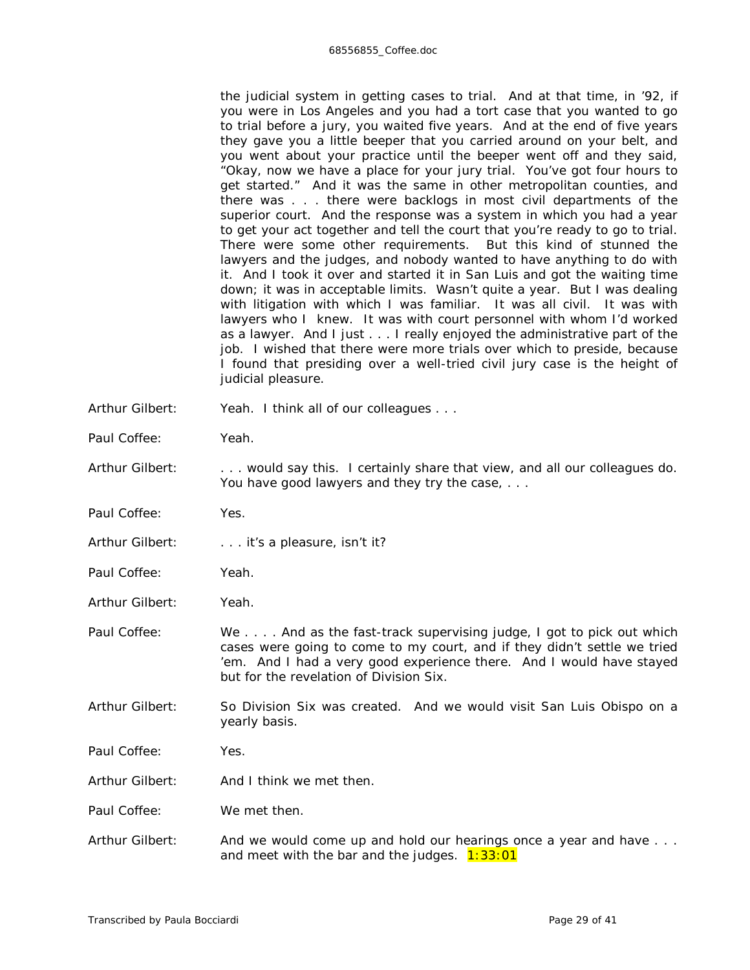the judicial system in getting cases to trial. And at that time, in '92, if you were in Los Angeles and you had a tort case that you wanted to go to trial before a jury, you waited five years. And at the end of five years they gave you a little beeper that you carried around on your belt, and you went about your practice until the beeper went off and they said, "Okay, now we have a place for your jury trial. You've got four hours to get started." And it was the same in other metropolitan counties, and there was . . . there were backlogs in most civil departments of the superior court. And the response was a system in which you had a year to get your act together and tell the court that you're ready to go to trial. There were some other requirements. But this kind of stunned the lawyers and the judges, and nobody wanted to have anything to do with it. And I took it over and started it in San Luis and got the waiting time down; it was in acceptable limits. Wasn't quite a year. But I was dealing with litigation with which I was familiar. It was all civil. It was with lawyers who I knew. It was with court personnel with whom I'd worked as a lawyer. And I just . . . I really enjoyed the administrative part of the job. I wished that there were more trials over which to preside, because I found that presiding over a well-tried civil jury case is the height of judicial pleasure.

- Arthur Gilbert: Yeah. I think all of our colleagues . . .
- Paul Coffee: Yeah.
- Arthur Gilbert: . . . . would say this. I certainly share that view, and all our colleagues do. You have good lawyers and they try the case, ...
- Paul Coffee: Yes.
- Arthur Gilbert: . . . . . it's a pleasure, isn't it?
- Paul Coffee: Yeah.
- Arthur Gilbert: Yeah.
- Paul Coffee: We . . . . And as the fast-track supervising judge, I got to pick out which cases were going to come to my court, and if they didn't settle we tried 'em. And I had a very good experience there. And I would have stayed but for the revelation of Division Six.
- Arthur Gilbert: So Division Six was created. And we would visit San Luis Obispo on a yearly basis.
- Paul Coffee: Yes.
- Arthur Gilbert: And I think we met then.
- Paul Coffee: We met then.
- Arthur Gilbert: And we would come up and hold our hearings once a year and have ... and meet with the bar and the judges.  $1:33:01$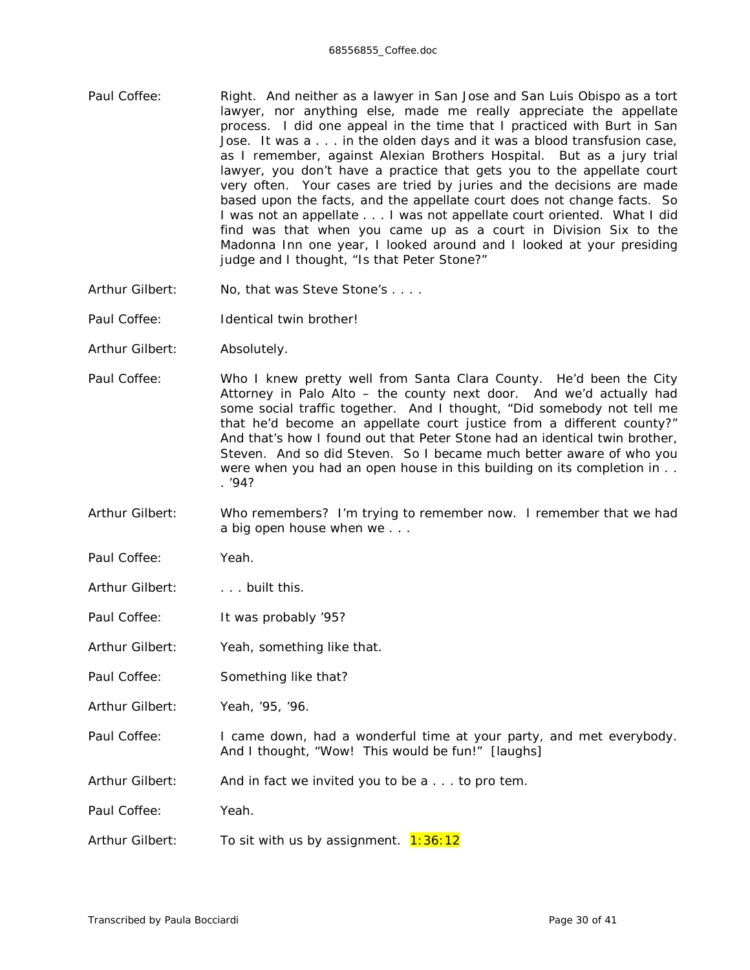- Paul Coffee: Right. And neither as a lawyer in San Jose and San Luis Obispo as a tort lawyer, nor anything else, made me really appreciate the appellate process. I did one appeal in the time that I practiced with Burt in San Jose. It was a . . . in the olden days and it was a blood transfusion case, as I remember, against Alexian Brothers Hospital. But as a jury trial lawyer, you don't have a practice that gets you to the appellate court very often. Your cases are tried by juries and the decisions are made based upon the facts, and the appellate court does not change facts. So I was not an appellate . . . I was not appellate court oriented. What I did find was that when you came up as a court in Division Six to the Madonna Inn one year, I looked around and I looked at your presiding judge and I thought, "Is that Peter Stone?"
- Arthur Gilbert: No, that was Steve Stone's . . . .
- Paul Coffee: Identical twin brother!
- Arthur Gilbert: Absolutely.
- Paul Coffee: Who I knew pretty well from Santa Clara County. He'd been the City Attorney in Palo Alto – the county next door. And we'd actually had some social traffic together. And I thought, "Did somebody not tell me that he'd become an appellate court justice from a different county?" And that's how I found out that Peter Stone had an identical twin brother, Steven. And so did Steven. So I became much better aware of who you were when you had an open house in this building on its completion in . . . '94?
- Arthur Gilbert: Who remembers? I'm trying to remember now. I remember that we had a big open house when we . . .
- Paul Coffee: Yeah.
- Arthur Gilbert: . . . . built this.
- Paul Coffee: It was probably '95?
- Arthur Gilbert: Yeah, something like that.
- Paul Coffee: Something like that?
- Arthur Gilbert: Yeah, '95, '96.
- Paul Coffee: I came down, had a wonderful time at your party, and met everybody. And I thought, "Wow! *This* would be fun!" *[laughs]*
- Arthur Gilbert: And in fact we invited you to be a . . . to pro tem.
- Paul Coffee: Yeah.
- Arthur Gilbert: To sit with us by assignment.  $1:36:12$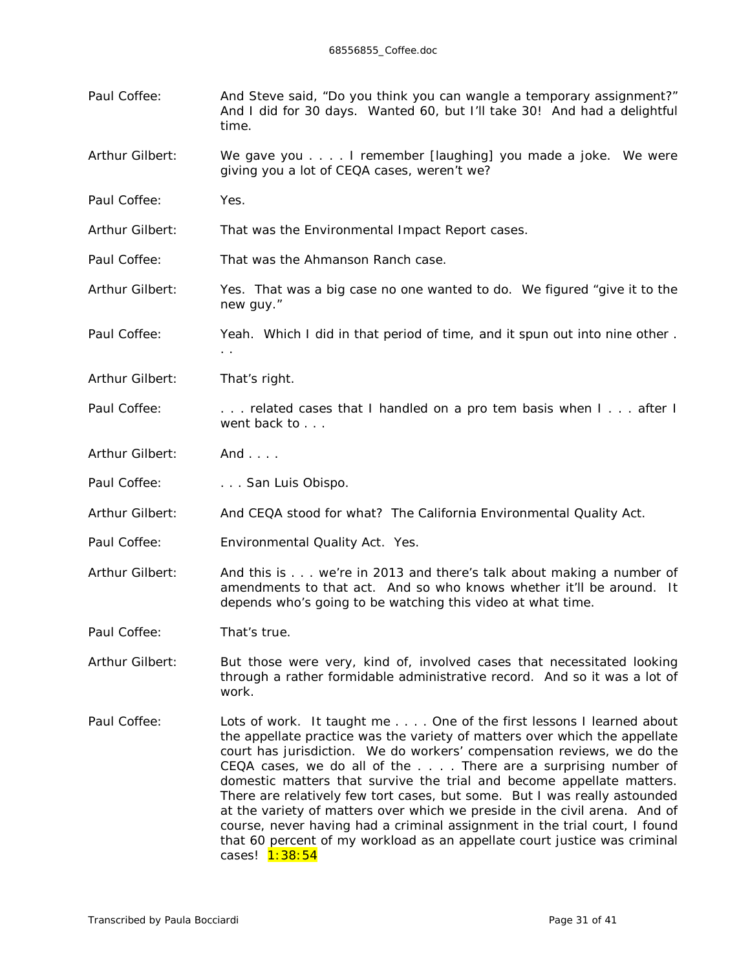- Paul Coffee: And Steve said, "Do you think you can wangle a temporary assignment?" And I did for 30 days. Wanted 60, but I'll take 30! And had a delightful time.
- Arthur Gilbert: We gave you . . . . I remember *[laughing]* you made a joke. We were giving you a lot of CEQA cases, weren't we?
- Paul Coffee: Yes.
- Arthur Gilbert: That was the Environmental Impact Report cases.
- Paul Coffee: That was the Ahmanson Ranch case.
- Arthur Gilbert: Yes. That was a big case no one wanted to do. We figured "give it to the new guy."
- Paul Coffee: Yeah. Which I did in that period of time, and it spun out into nine other.
- Arthur Gilbert: That's right.
- Paul Coffee: . . . . . related cases that I handled on a pro tem basis when I . . . after I went back to . . .
- Arthur Gilbert: And . . . .
- Paul Coffee: . . . . . . . San Luis Obispo.

. .

- Arthur Gilbert: And CEQA stood for what? The California Environmental Quality Act.
- Paul Coffee: Environmental Quality Act. Yes.
- Arthur Gilbert: And this is . . . we're in 2013 and there's talk about making a number of amendments to that act. And so who knows whether it'll be around. It depends who's going to be watching this video at what time.
- Paul Coffee: That's true.
- Arthur Gilbert: But those were very, kind of, involved cases that necessitated looking through a rather formidable administrative record. And so it was a lot of work.
- Paul Coffee: Lots of work. It taught me . . . . One of the first lessons I learned about the appellate practice was the variety of matters over which the appellate court has jurisdiction. We do workers' compensation reviews, we do the CEQA cases, we do all of the . . . . There are a surprising number of domestic matters that survive the trial and become appellate matters. There are relatively few tort cases, but some. But I was really astounded at the variety of matters over which we preside in the civil arena. And of course, never having had a criminal assignment in the trial court, I found that 60 percent of my workload as an appellate court justice was criminal cases! 1:38:54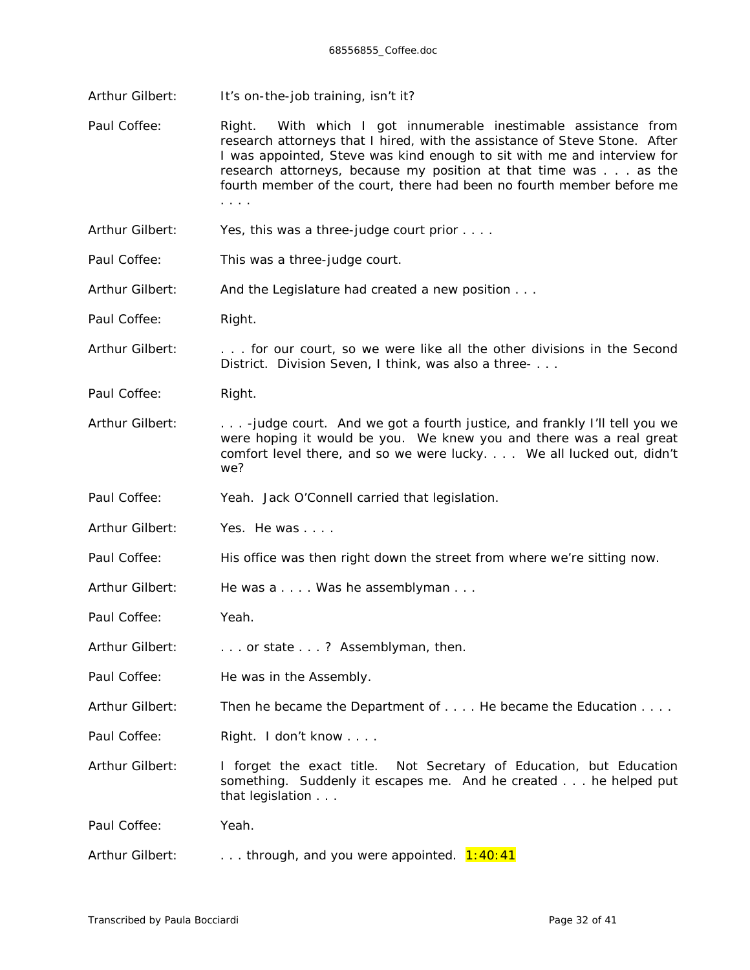- Arthur Gilbert: It's on-the-job training, isn't it?
- Paul Coffee: Right. With which I got innumerable inestimable assistance from research attorneys that I hired, with the assistance of Steve Stone. After I was appointed, Steve was kind enough to sit with me and interview for research attorneys, because my position at that time was . . . as the fourth member of the court, there had been no fourth member before me . . . .
- Arthur Gilbert: Yes, this was a three-judge court prior . . . .
- Paul Coffee: This was a three-judge court.
- Arthur Gilbert: And the Legislature had created a new position . . .
- Paul Coffee: Right.
- Arthur Gilbert: . . . . for our court, so we were like all the other divisions in the Second District. Division Seven, I think, was also a three- . . .
- Paul Coffee: Right.
- Arthur Gilbert: . . . . judge court. And we got a fourth justice, and frankly I'll tell you we were hoping it would *be* you. We knew you and there was a real great comfort level there, and so we were lucky. . . . We all lucked out, didn't we?
- Paul Coffee: Yeah. Jack O'Connell carried that legislation.
- Arthur Gilbert: Yes. He was . . . .
- Paul Coffee: His office was then right down the street from where we're sitting now.
- Arthur Gilbert: He was a . . . . Was he assemblyman . . .
- Paul Coffee: Yeah.
- Arthur Gilbert: . . . . . or state . . . ? Assemblyman, then.
- Paul Coffee: He was in the Assembly.
- Arthur Gilbert: Then he became the Department of . . . . He became the Education . . . .
- Paul Coffee: Right. I don't know . . . .
- Arthur Gilbert: I forget the exact title. Not Secretary of Education, but Education something. Suddenly it escapes me. And he created . . . he helped put that legislation . . .

Paul Coffee: Yeah.

Arthur Gilbert:  $\ldots$  . . through, and you were appointed.  $1:40:41$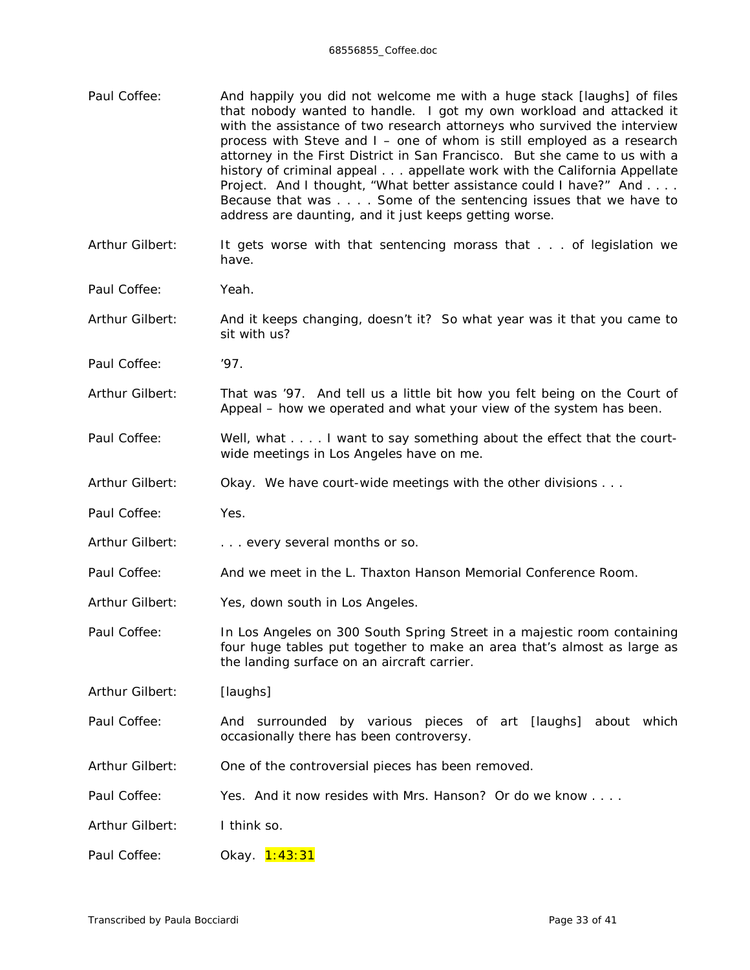Paul Coffee: And happily you did not welcome me with a huge stack *[laughs]* of files that nobody wanted to handle. I got my own workload and attacked it with the assistance of two research attorneys who survived the interview process with Steve and I – one of whom is still employed as a research attorney in the First District in San Francisco. But she came to us with a history of criminal appeal . . . appellate work with the California Appellate Project. And I thought, "What better assistance could I have?" And . . . . Because that was . . . . Some of the sentencing issues that we have to address are daunting, and it just keeps getting worse. Arthur Gilbert: It gets worse with that sentencing morass that . . . of legislation we have. Paul Coffee: Yeah. Arthur Gilbert: And it keeps changing, doesn't it? So what year was it that you came to sit with us? Paul Coffee: '97. Arthur Gilbert: That was '97. And tell us a little bit how you felt being on the Court of Appeal – how we operated and what your view of the system has been. Paul Coffee: Well, what . . . . I want to say something about the effect that the courtwide meetings in Los Angeles have on me. Arthur Gilbert: Okay. We have court-wide meetings with the other divisions . . . Paul Coffee: Yes. Arthur Gilbert: . . . . . every several months or so. Paul Coffee: And we meet in the L. Thaxton Hanson Memorial Conference Room. Arthur Gilbert: Yes, down south in Los Angeles. Paul Coffee: In Los Angeles on 300 South Spring Street in a majestic room containing four huge tables put together to make an area that's almost as large as the landing surface on an aircraft carrier. Arthur Gilbert: *[laughs]* Paul Coffee: And surrounded by various pieces of art *[laughs]* about which occasionally there has been controversy. Arthur Gilbert: One of the controversial pieces has been removed. Paul Coffee: Yes. And it now resides with Mrs. Hanson? Or do we know . . . . Arthur Gilbert: I think so. Paul Coffee: Okay. 1:43:31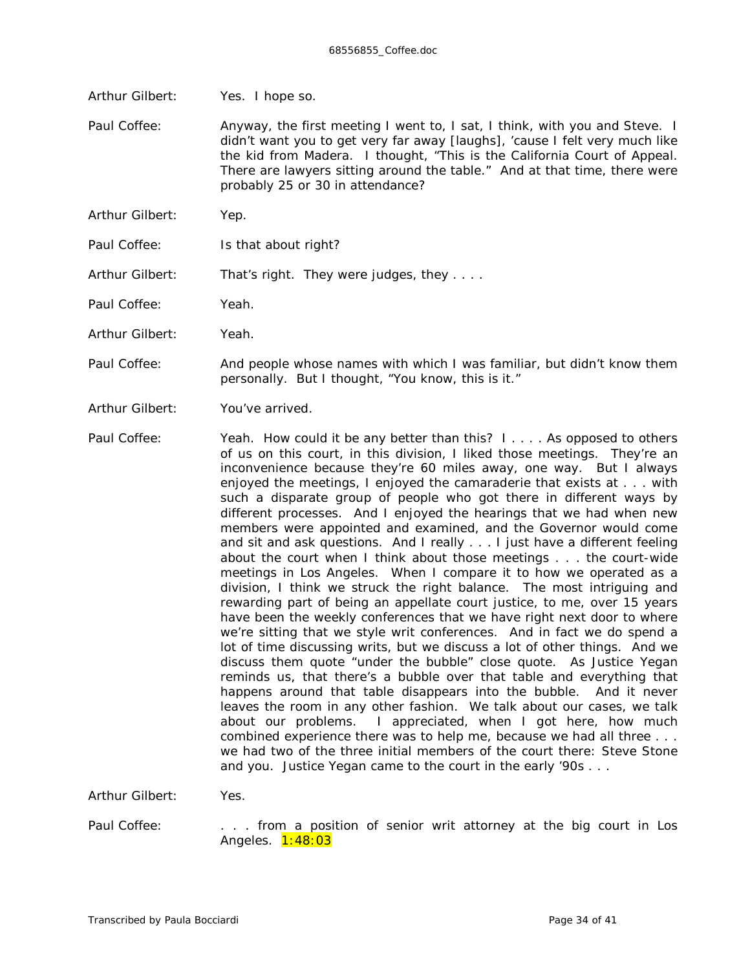Arthur Gilbert: Yes. I hope so.

Paul Coffee: Anyway, the first meeting I went to, I sat, I think, with you and Steve. I didn't want you to get very far away *[laughs]*, 'cause I felt very much like the kid from Madera. I thought, "This is the California Court of Appeal. There are lawyers sitting around the table." And at that time, there were probably 25 or 30 in attendance?

Arthur Gilbert: Yep.

Paul Coffee: Is that about right?

Arthur Gilbert: That's right. They were judges, they ....

Paul Coffee: Yeah.

Arthur Gilbert: Yeah.

Paul Coffee: And people whose names with which I was familiar, but didn't know them personally. But I thought, "You know, this is it."

Arthur Gilbert: You've arrived.

Paul Coffee: Yeah. How could it be any better than this? I.... As opposed to others of us on this court, in this division, I liked those meetings. They're an inconvenience because they're 60 miles away, one way. But I always enjoyed the meetings, I enjoyed the camaraderie that exists at . . . with such a disparate group of people who got there in different ways by different processes. And I enjoyed the hearings that we had when new members were appointed and examined, and the Governor would come and sit and ask questions. And I really . . . I just have a different feeling about the court when I think about those meetings . . . the court-wide meetings in Los Angeles. When I compare it to how *we* operated as a division, I think we struck the right balance. The most intriguing and rewarding part of being an appellate court justice, to me, over 15 years have been the weekly conferences that we have right next door to where we're sitting that we style writ conferences. And in fact we do spend a lot of time discussing writs, but we discuss a *lot* of other things. And we discuss them quote "under the bubble" close quote. As Justice Yegan reminds us, that there's a bubble over that table and everything that happens around that table disappears into the bubble. And it never leaves the room in any other fashion. We talk about our cases, we talk about our problems. I appreciated, when I got here, how much combined experience there was to help me, because we had all three . . . we had two of the three initial members of the court there: Steve Stone and you. Justice Yegan came to the court in the early '90s . . .

Arthur Gilbert: Yes.

Paul Coffee: . . . from a position of senior writ attorney at the big court in Los Angeles. **1:48:03**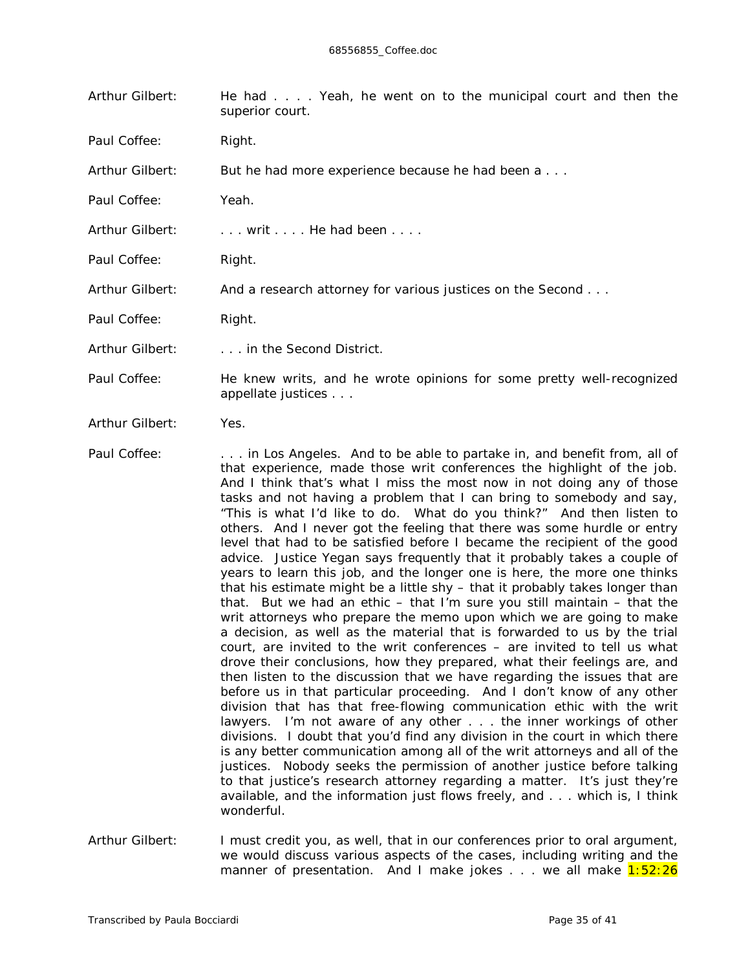| Arthur Gilbert: | He had Yeah, he went on to the municipal court and then the<br>superior court. |  |  |  |  |  |  |
|-----------------|--------------------------------------------------------------------------------|--|--|--|--|--|--|
| Paul Coffee:    | Right.                                                                         |  |  |  |  |  |  |

Arthur Gilbert: But he had more experience because he had been a . . .

Paul Coffee: Yeah.

Arthur Gilbert: . . . . writ . . . . He had been . . . .

Paul Coffee: Right.

Arthur Gilbert: And a research attorney for various justices on the Second . . .

Paul Coffee: Right.

Arthur Gilbert: . . . . in the Second District.

- Paul Coffee: He knew writs, and he wrote opinions for some pretty well-recognized appellate justices . . .
- Arthur Gilbert: Yes.
- Paul Coffee: . . . . . in Los Angeles. And to be able to partake in, and benefit from, all of that experience, made those writ conferences the highlight of the job. And I think that's what I miss the most now in not doing any of those tasks and not having a problem that I can bring to somebody and say, "This is what I'd like to do. What do *you* think?" And then listen to others. And I never got the feeling that there was some hurdle or entry level that had to be satisfied before I became the recipient of the good advice. Justice Yegan says frequently that it probably takes a couple of years to learn this job, and the longer one is here, the more one thinks that his estimate might be a little shy – that it probably takes longer than that. But we had an ethic – that I'm sure you still maintain – that the writ attorneys who prepare the memo upon which we are going to make a decision, as well as the material that is forwarded to us by the trial court, are invited to the writ conferences – are invited to tell us what drove *their* conclusions, how *they* prepared, what *their* feelings are, and then listen to the discussion that *we* have regarding the issues that are before us in that particular proceeding. And I don't know of any other division that has that free-flowing communication ethic with the writ lawyers. I'm not aware of any other . . . the inner workings of other divisions. I doubt that you'd find any division in the court in which there is any better communication among *all* of the writ attorneys and *all* of the justices. Nobody seeks the permission of another justice before talking to that justice's research attorney regarding a matter. It's just they're available, and the information just flows freely, and . . . which is, I think wonderful.
- Arthur Gilbert: I must credit you, as well, that in our conferences prior to oral argument, we would discuss various aspects of the cases, including writing and the manner of presentation. And I make jokes  $\ldots$  we all make  $1:52:26$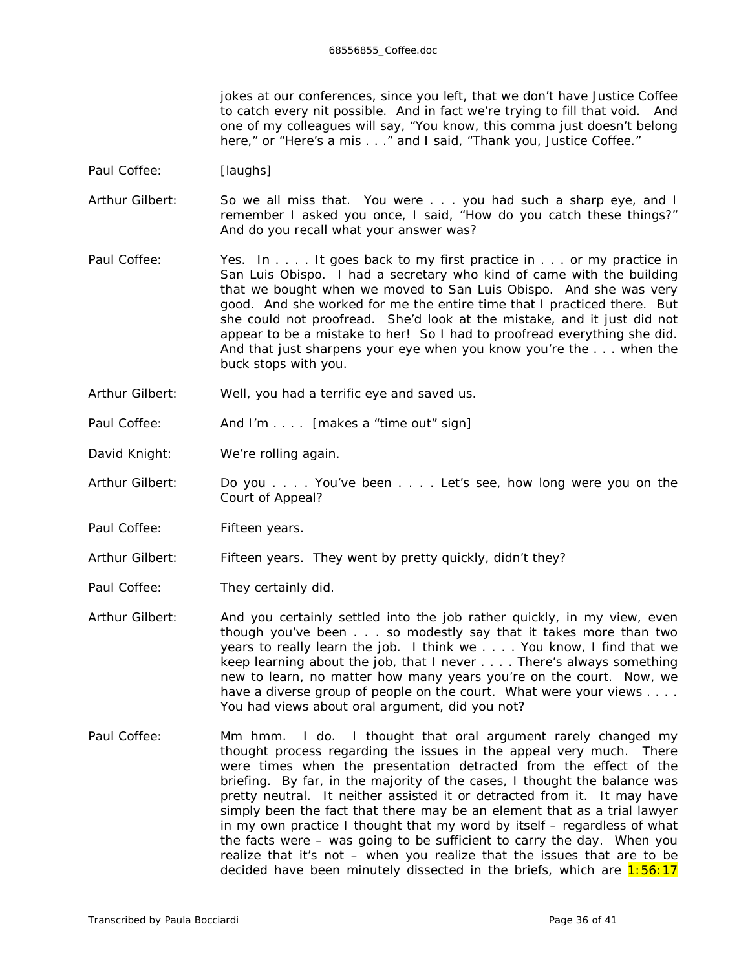jokes at our conferences, since you left, that we don't have Justice Coffee to catch every nit possible. And in fact we're trying to fill that void. And one of my colleagues will say, "You know, this comma just doesn't belong here," or "Here's a mis . . ." and I said, "Thank you, Justice Coffee."

- Paul Coffee: *[laughs]*
- Arthur Gilbert: So we all miss that. You were . . . you had such a sharp eye, and I remember I asked you once, I said, "How do you *catch* these things?" And do you recall what your answer was?
- Paul Coffee: Yes. In . . . . It goes back to my first practice in . . . or my practice in San Luis Obispo. I had a secretary who kind of came with the building that we bought when we moved to San Luis Obispo. And she was very good. And she worked for me the entire time that I practiced there. But she could not proofread. She'd look at the mistake, and it just did not appear to be a mistake to her! So I had to proofread everything she did. And that just sharpens your eye when you know you're the . . . when the buck stops with you.
- Arthur Gilbert: Well, you had a terrific eye and saved us.
- Paul Coffee: And I'm . . . . *[makes a "time out" sign]*
- David Knight: We're rolling again.
- Arthur Gilbert: Do you . . . . You've been . . . . Let's see, how long were you on the Court of Appeal?
- Paul Coffee: Fifteen years.
- Arthur Gilbert: Fifteen years. They went by pretty quickly, didn't they?
- Paul Coffee: They certainly did.
- Arthur Gilbert: And you certainly settled into the job rather quickly, in my view, even though you've been . . . so modestly say that it takes more than two years to really learn the job. I think we . . . . You know, I find that we keep learning about the job, that I never . . . . There's always something new to learn, no matter *how* many years you're on the court. Now, we have a diverse group of people on the court. What were your views . . . . You had views about oral argument, did you not?
- Paul Coffee: Mm hmm. I do. I thought that oral argument rarely changed my thought process regarding the issues in the appeal very much. There were times when the presentation *detracted* from the effect of the briefing. By far, in the majority of the cases, I thought the balance was pretty neutral. It neither assisted it or detracted from it. It may have simply been the fact that there may be an element that as a trial lawyer in my own practice I thought that my word by itself – regardless of what the facts were – was going to be sufficient to carry the day. When you realize that it's not – when you realize that the issues that are to be decided have been minutely dissected in the briefs, which are  $1:56:17$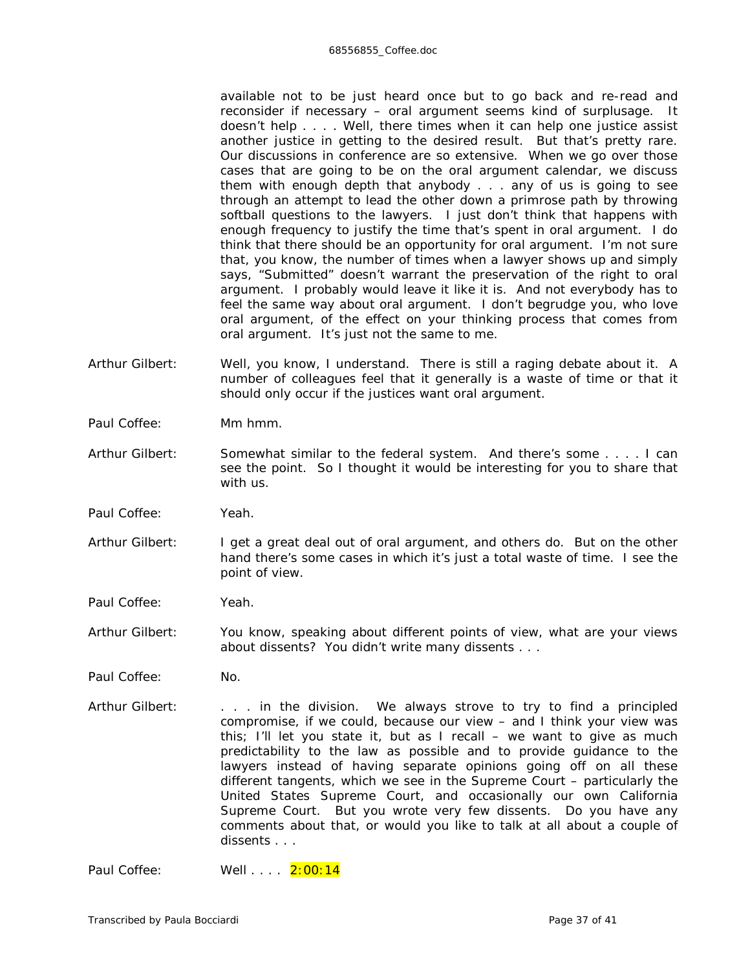available not to be just heard once but to go back and re-read and reconsider if necessary – oral argument seems kind of surplusage. It doesn't help . . . . Well, there times when it can help one justice assist another justice in getting to the desired result. But that's pretty rare. Our discussions in conference are so extensive. When we go over those cases that are going to be on the oral argument calendar, we discuss them with enough depth that anybody . . . any of us is going to see through an attempt to lead the other down a primrose path by throwing softball questions to the lawyers. I just don't think that happens with enough frequency to justify the time that's spent in oral argument. I do think that there should be an opportunity for oral argument. I'm not sure that, you know, the number of times when a lawyer shows up and simply says, "Submitted" doesn't warrant the preservation of the right to oral argument. I probably would leave it like it is. And not everybody has to feel the same way about oral argument. I don't begrudge *you*, who love oral argument, of the effect on *your* thinking process that comes from oral argument. It's just not the same to me.

- Arthur Gilbert: Well, you know, I understand. There is still a raging debate about it. A number of colleagues feel that it generally is a waste of time or that it should only occur if the justices want oral argument.
- Paul Coffee: Mm hmm.
- Arthur Gilbert: Somewhat similar to the federal system. And there's some . . . . I can see the point. So I thought it would be interesting for you to share that with us.
- Paul Coffee: Yeah.
- Arthur Gilbert: I get a great deal out of oral argument, and others do. But on the other hand there's some cases in which it's just a total waste of time. I see the point of view.

Paul Coffee: Yeah.

- Arthur Gilbert: You know, speaking about different points of view, what are your views about dissents? You didn't write many dissents . . .
- Paul Coffee: No.
- Arthur Gilbert: . . . . in the division. We always strove to try to find a principled compromise, if we could, because our view – and I think your view was this; I'll let you state it, but as I recall – we want to give as much predictability to the law as possible and to provide guidance to the lawyers instead of having separate opinions going off on all these different tangents, which we see in the Supreme Court – particularly the United States Supreme Court, and occasionally our own California Supreme Court. But you wrote very few dissents. Do you have any comments about that, or would you like to talk at all about a couple of dissents . . .

Paul Coffee: Well . . . . 2:00:14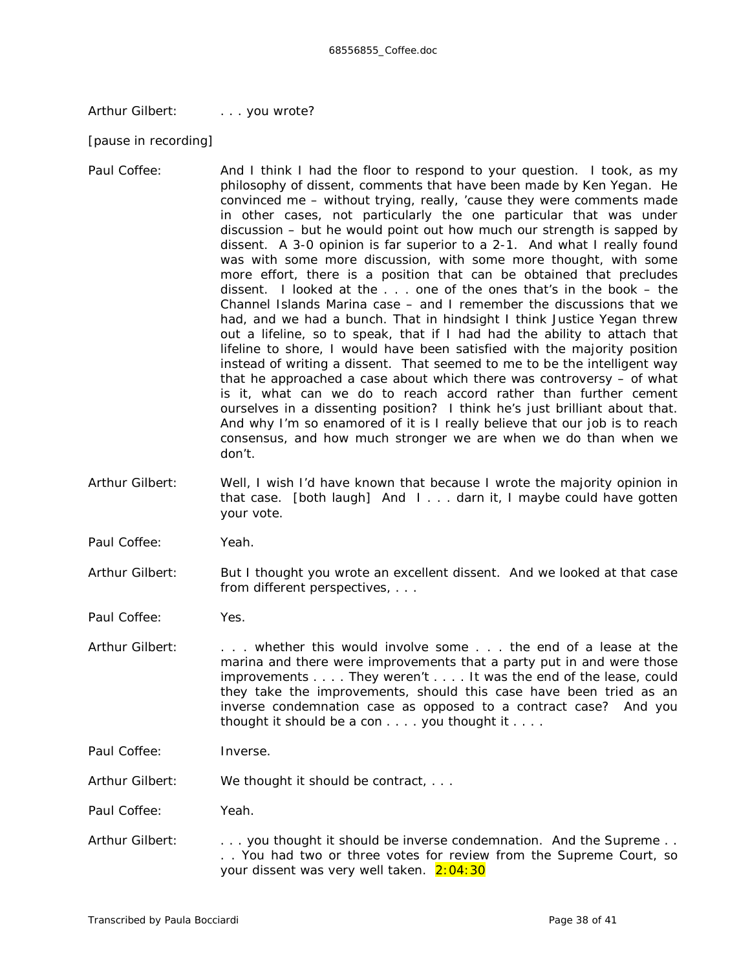Arthur Gilbert: . . . . you wrote?

*[pause in recording]*

- Paul Coffee: And I think I had the floor to respond to your question. I took, as my philosophy of dissent, comments that have been made by Ken Yegan. He convinced me – without trying, really, 'cause they were comments made in other cases, not particularly the one particular that was under discussion – but he would point out how much our strength is sapped by dissent. A 3-0 opinion is far superior to a 2-1. And what I really found was with some more discussion, with some more thought, with some more effort, there is a position that can be obtained that precludes dissent. I looked at the . . . one of the ones that's in the book – the *Channel Islands Marin*a case – and I remember the discussions that we had, and we had a bunch. That in hindsight I think Justice Yegan threw out a lifeline, so to speak, that if I had had the ability to attach that lifeline to shore, I would have been satisfied with the majority position instead of writing a dissent. That seemed to me to be the intelligent way that he approached a case about which there was controversy – of what is it, what can we do to reach accord rather than further cement ourselves in a dissenting position? I think he's just brilliant about that. And why I'm so enamored of it is I really believe that our job is to reach consensus, and how much stronger we are when we do than when we don't.
- Arthur Gilbert: Well, I wish I'd have known that because I wrote the majority opinion in that case. *[both laugh]* And I . . . darn it, I maybe could have gotten your vote.
- Paul Coffee: Yeah.
- Arthur Gilbert: But I thought you wrote an *excellent* dissent. And we looked at that case from different perspectives, . . .
- Paul Coffee: Yes.
- Arthur Gilbert: . . . . whether this would involve some . . . the end of a lease at the marina and there were improvements that a party put in and were those improvements . . . . They weren't . . . . It was the end of the lease, could they take the improvements, should this case have been tried as an inverse condemnation case as opposed to a contract case? And you thought it should be a con . . . . you thought it . . . .

Paul Coffee: Inverse.

Arthur Gilbert: We thought it should be contract, ...

Paul Coffee: Yeah.

Arthur Gilbert: . . . . you thought it should be inverse condemnation. And the Supreme . . . . You had two or three votes for review from the Supreme Court, so your dissent was very well taken. 2:04:30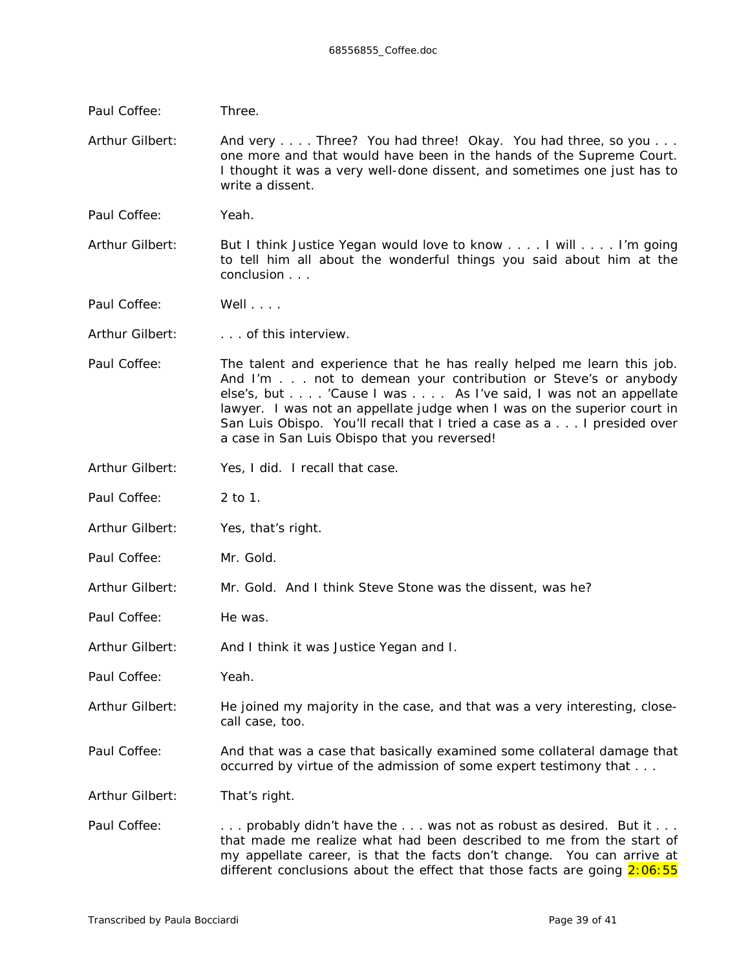| Paul Coffee:    | Three.                                                                                                                                                                                                                                                                                                                                                                                                          |  |
|-----------------|-----------------------------------------------------------------------------------------------------------------------------------------------------------------------------------------------------------------------------------------------------------------------------------------------------------------------------------------------------------------------------------------------------------------|--|
| Arthur Gilbert: | And very Three? You had three! Okay. You had three, so you<br>one more and that would have been in the hands of the Supreme Court.<br>I thought it was a very well-done dissent, and sometimes one just has to<br>write a dissent.                                                                                                                                                                              |  |
| Paul Coffee:    | Yeah.                                                                                                                                                                                                                                                                                                                                                                                                           |  |
| Arthur Gilbert: | But I think Justice Yegan would love to know I will I'm going<br>to tell him all about the wonderful things you said about him at the<br>conclusion $\ldots$                                                                                                                                                                                                                                                    |  |
| Paul Coffee:    | Well $\ldots$ .                                                                                                                                                                                                                                                                                                                                                                                                 |  |
| Arthur Gilbert: | of this interview.                                                                                                                                                                                                                                                                                                                                                                                              |  |
| Paul Coffee:    | The talent and experience that he has really helped me learn this job.<br>And I'm not to demean your contribution or Steve's or anybody<br>else's, but 'Cause I was As I've said, I was not an appellate<br>lawyer. I was not an appellate judge when I was on the superior court in<br>San Luis Obispo. You'll recall that I tried a case as a I presided over<br>a case in San Luis Obispo that you reversed! |  |
| Arthur Gilbert: | Yes, I did. I recall that case.                                                                                                                                                                                                                                                                                                                                                                                 |  |
| Paul Coffee:    | $2$ to 1.                                                                                                                                                                                                                                                                                                                                                                                                       |  |
| Arthur Gilbert: | Yes, that's right.                                                                                                                                                                                                                                                                                                                                                                                              |  |
| Paul Coffee:    | Mr. Gold.                                                                                                                                                                                                                                                                                                                                                                                                       |  |
| Arthur Gilbert: | Mr. Gold. And I think Steve Stone was the dissent, was he?                                                                                                                                                                                                                                                                                                                                                      |  |
| Paul Coffee:    | He was.                                                                                                                                                                                                                                                                                                                                                                                                         |  |
| Arthur Gilbert: | And I think it was Justice Yegan and I.                                                                                                                                                                                                                                                                                                                                                                         |  |
| Paul Coffee:    | Yeah.                                                                                                                                                                                                                                                                                                                                                                                                           |  |
| Arthur Gilbert: | He joined my majority in the case, and that was a very interesting, close-<br>call case, too.                                                                                                                                                                                                                                                                                                                   |  |
| Paul Coffee:    | And that was a case that basically examined some collateral damage that<br>occurred by virtue of the admission of some expert testimony that                                                                                                                                                                                                                                                                    |  |
| Arthur Gilbert: | That's right.                                                                                                                                                                                                                                                                                                                                                                                                   |  |
| Paul Coffee:    | probably didn't have the  was not as robust as desired. But it<br>that made me realize what had been described to me from the start of<br>my appellate career, is that the facts don't change. You can arrive at<br>different conclusions about the <i>effect</i> that those facts are going $2:06:55$                                                                                                          |  |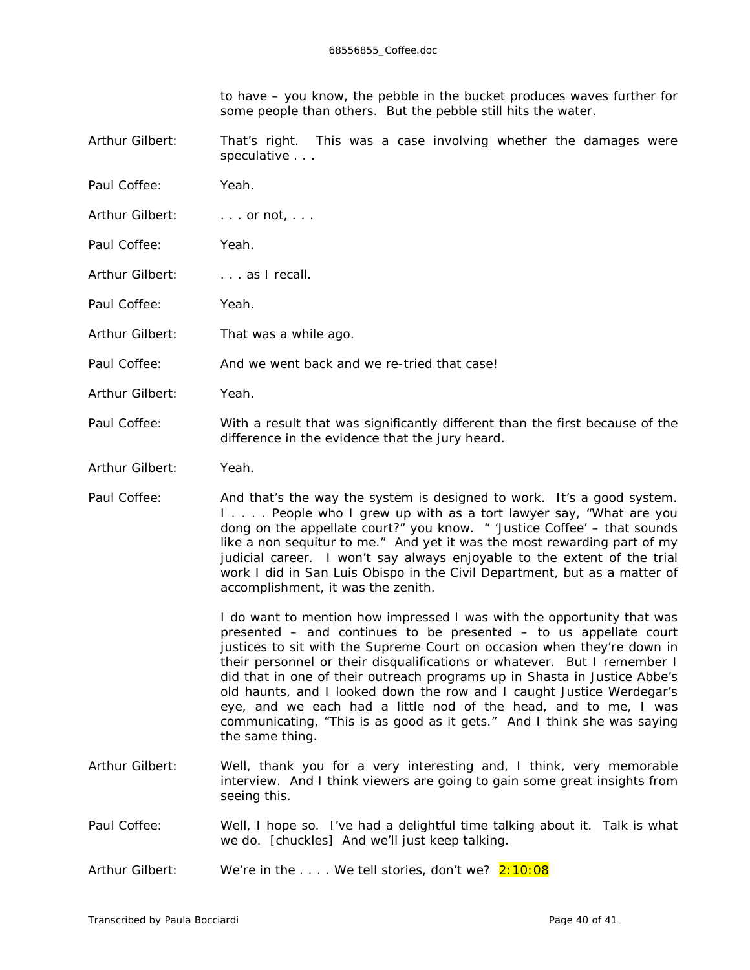| to have – you know, the pebble in the bucket produces waves further for |
|-------------------------------------------------------------------------|
| some people than others. But the pebble still hits the water.           |

Arthur Gilbert: That's right. This was a case involving whether the damages were speculative . . .

- Paul Coffee: Yeah.
- Arthur Gilbert: . . . . or not, . . .
- Paul Coffee: Yeah.
- Arthur Gilbert: . . . . as I recall.
- Paul Coffee: Yeah.
- Arthur Gilbert: That was a while ago.
- Paul Coffee: And we went back and we re-tried that case!
- Arthur Gilbert: Yeah.
- Paul Coffee: With a result that was significantly different than the first because of the difference in the evidence that the jury heard.
- Arthur Gilbert: Yeah.
- Paul Coffee: And that's the way the system is designed to work. It's a good system. I . . . . People who I grew up with as a tort lawyer say, "What are you dong on the appellate court?" you know. " 'Justice Coffee' – that sounds like a non sequitur to me." And yet it was the most rewarding part of my judicial career. I won't say always enjoyable to the extent of the trial work I did in San Luis Obispo in the Civil Department, but as a matter of accomplishment, it was the zenith.

I do want to mention how impressed I was with the opportunity that was presented – and continues to be presented – to us appellate court justices to sit with the Supreme Court on occasion when they're down in their personnel or their disqualifications or whatever. But I remember I did that in one of their outreach programs up in Shasta in Justice Abbe's old haunts, and I looked down the row and I caught Justice Werdegar's eye, and we each had a little nod of the head, and to me, I was communicating, "This is as good as it gets." And I think she was saying the same thing.

- Arthur Gilbert: Well, thank you for a very interesting and, I think, very memorable interview. And I think viewers are going to gain some great insights from seeing this.
- Paul Coffee: Well, I hope so. I've had a delightful time talking about it. Talk is what we do. *[chuckles]* And we'll just keep talking.
- Arthur Gilbert: We're in the .... We tell stories, don't we? 2:10:08